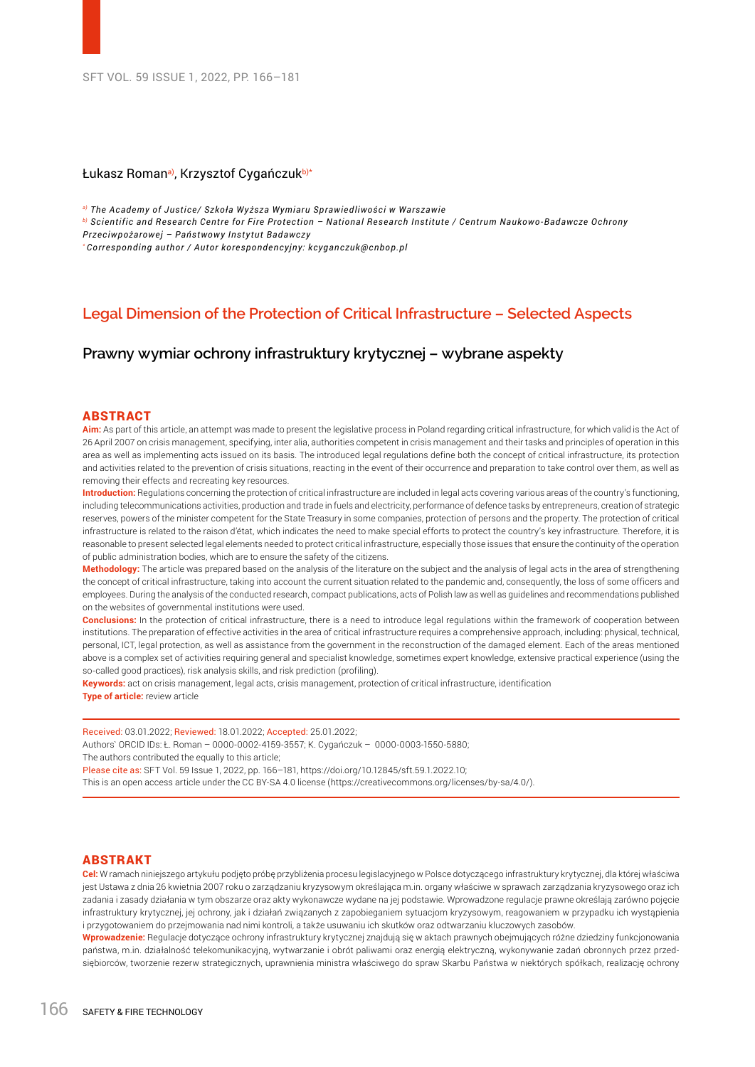## Łukasz Roman<sup>a)</sup>, Krzysztof Cygańczuk<sup>b)\*</sup>

*a) The Academy of Justice/ Szkoła Wyższa Wymiaru Sprawiedliwości w Warszawie*

*b) Scientific and Research Centre for Fire Protection – National Research Institute / Centrum Naukowo-Badawcze Ochrony* 

*Przeciwpożarowej – Państwowy Instytut Badawczy*

*\* Corresponding author / Autor korespondencyjny: kcyganczuk@cnbop.pl*

# **Legal Dimension of the Protection of Critical Infrastructure – Selected Aspects**

**Prawny wymiar ochrony infrastruktury krytycznej – wybrane aspekty**

#### ABSTRACT

**Aim:** As part of this article, an attempt was made to present the legislative process in Poland regarding critical infrastructure, for which valid is the Act of 26 April 2007 on crisis management, specifying, inter alia, authorities competent in crisis management and their tasks and principles of operation in this area as well as implementing acts issued on its basis. The introduced legal regulations define both the concept of critical infrastructure, its protection and activities related to the prevention of crisis situations, reacting in the event of their occurrence and preparation to take control over them, as well as removing their effects and recreating key resources.

**Introduction:** Regulations concerning the protection of critical infrastructure are included in legal acts covering various areas of the country's functioning, including telecommunications activities, production and trade in fuels and electricity, performance of defence tasks by entrepreneurs, creation of strategic reserves, powers of the minister competent for the State Treasury in some companies, protection of persons and the property. The protection of critical infrastructure is related to the raison d'état, which indicates the need to make special efforts to protect the country's key infrastructure. Therefore, it is reasonable to present selected legal elements needed to protect critical infrastructure, especially those issues that ensure the continuity of the operation of public administration bodies, which are to ensure the safety of the citizens.

**Methodology:** The article was prepared based on the analysis of the literature on the subject and the analysis of legal acts in the area of strengthening the concept of critical infrastructure, taking into account the current situation related to the pandemic and, consequently, the loss of some officers and employees. During the analysis of the conducted research, compact publications, acts of Polish law as well as guidelines and recommendations published on the websites of governmental institutions were used.

**Conclusions:** In the protection of critical infrastructure, there is a need to introduce legal regulations within the framework of cooperation between institutions. The preparation of effective activities in the area of critical infrastructure requires a comprehensive approach, including: physical, technical, personal, ICT, legal protection, as well as assistance from the government in the reconstruction of the damaged element. Each of the areas mentioned above is a complex set of activities requiring general and specialist knowledge, sometimes expert knowledge, extensive practical experience (using the so-called good practices), risk analysis skills, and risk prediction (profiling).

**Keywords:** act on crisis management, legal acts, crisis management, protection of critical infrastructure, identification **Type of article:** review article

Received: 03.01.2022; Reviewed: 18.01.2022; Accepted: 25.01.2022;

Authors` ORCID IDs: Ł. Roman – 0000-0002-4159-3557; K. Cygańczuk – 0000-0003-1550-5880;

The authors contributed the equally to this article;

Please cite as: SFT Vol. 59 Issue 1, 2022, pp. 166–181, https://doi.org/10.12845/sft.59.1.2022.10;

This is an open access article under the CC BY-SA 4.0 license (https://creativecommons.org/licenses/by-sa/4.0/).

#### ABSTRAKT

**Cel:** W ramach niniejszego artykułu podjęto próbę przybliżenia procesu legislacyjnego w Polsce dotyczącego infrastruktury krytycznej, dla której właściwa jest Ustawa z dnia 26 kwietnia 2007 roku o zarządzaniu kryzysowym określająca m.in. organy właściwe w sprawach zarządzania kryzysowego oraz ich zadania i zasady działania w tym obszarze oraz akty wykonawcze wydane na jej podstawie. Wprowadzone regulacje prawne określają zarówno pojęcie infrastruktury krytycznej, jej ochrony, jak i działań związanych z zapobieganiem sytuacjom kryzysowym, reagowaniem w przypadku ich wystąpienia i przygotowaniem do przejmowania nad nimi kontroli, a także usuwaniu ich skutków oraz odtwarzaniu kluczowych zasobów.

**Wprowadzenie:** Regulacje dotyczące ochrony infrastruktury krytycznej znajdują się w aktach prawnych obejmujących różne dziedziny funkcjonowania państwa, m.in. działalność telekomunikacyjną, wytwarzanie i obrót paliwami oraz energią elektryczną, wykonywanie zadań obronnych przez przedsiębiorców, tworzenie rezerw strategicznych, uprawnienia ministra właściwego do spraw Skarbu Państwa w niektórych spółkach, realizację ochrony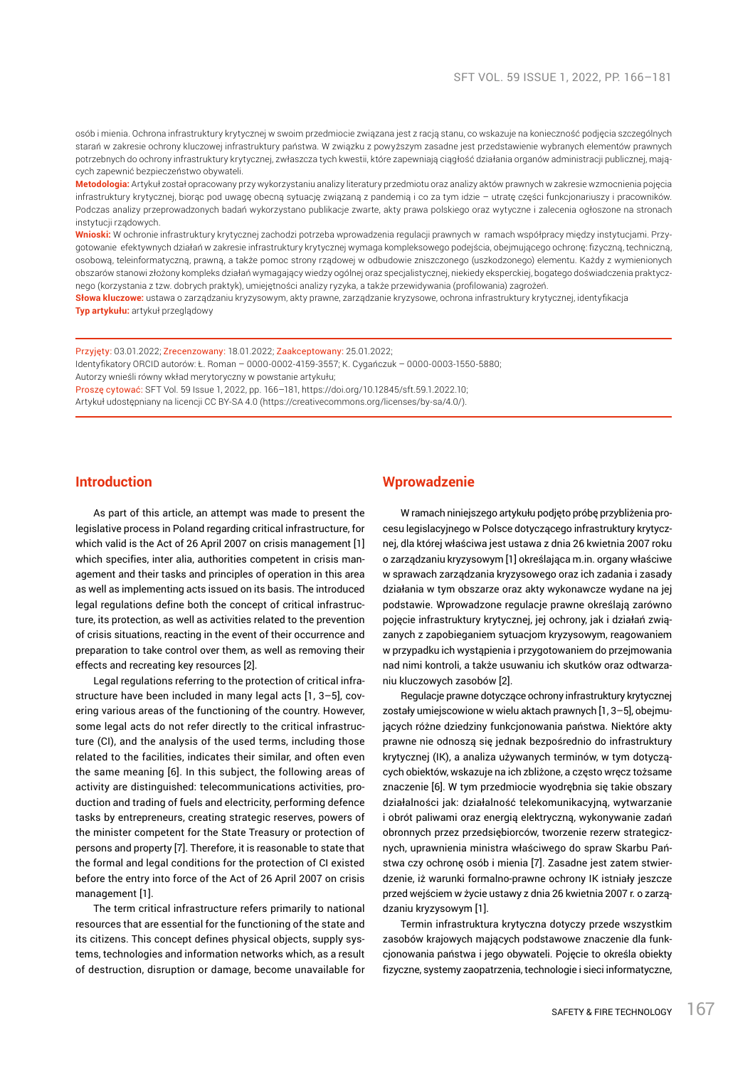osób i mienia. Ochrona infrastruktury krytycznej w swoim przedmiocie związana jest z racją stanu, co wskazuje na konieczność podjęcia szczególnych starań w zakresie ochrony kluczowej infrastruktury państwa. W związku z powyższym zasadne jest przedstawienie wybranych elementów prawnych potrzebnych do ochrony infrastruktury krytycznej, zwłaszcza tych kwestii, które zapewniają ciągłość działania organów administracji publicznej, mających zapewnić bezpieczeństwo obywateli.

**Metodologia:** Artykuł został opracowany przy wykorzystaniu analizy literatury przedmiotu oraz analizy aktów prawnych w zakresie wzmocnienia pojęcia infrastruktury krytycznej, biorąc pod uwagę obecną sytuację związaną z pandemią i co za tym idzie – utratę części funkcjonariuszy i pracowników. Podczas analizy przeprowadzonych badań wykorzystano publikacje zwarte, akty prawa polskiego oraz wytyczne i zalecenia ogłoszone na stronach instytucji rządowych.

**Wnioski:** W ochronie infrastruktury krytycznej zachodzi potrzeba wprowadzenia regulacji prawnych w ramach współpracy między instytucjami. Przygotowanie efektywnych działań w zakresie infrastruktury krytycznej wymaga kompleksowego podejścia, obejmującego ochronę: fizyczną, techniczną, osobową, teleinformatyczną, prawną, a także pomoc strony rządowej w odbudowie zniszczonego (uszkodzonego) elementu. Każdy z wymienionych obszarów stanowi złożony kompleks działań wymagający wiedzy ogólnej oraz specjalistycznej, niekiedy eksperckiej, bogatego doświadczenia praktycznego (korzystania z tzw. dobrych praktyk), umiejętności analizy ryzyka, a także przewidywania (profilowania) zagrożeń.

**Słowa kluczowe:** ustawa o zarządzaniu kryzysowym, akty prawne, zarządzanie kryzysowe, ochrona infrastruktury krytycznej, identyfikacja **Typ artykułu:** artykuł przeglądowy

Przyjęty: 03.01.2022; Zrecenzowany: 18.01.2022; Zaakceptowany: 25.01.2022; Identyfikatory ORCID autorów: Ł. Roman – 0000-0002-4159-3557; K. Cygańczuk – 0000-0003-1550-5880;

Autorzy wnieśli równy wkład merytoryczny w powstanie artykułu;

Proszę cytować: SFT Vol. 59 Issue 1, 2022, pp. 166–181, https://doi.org/10.12845/sft.59.1.2022.10; Artykuł udostępniany na licencji CC BY-SA 4.0 (https://creativecommons.org/licenses/by-sa/4.0/).

## **Introduction**

As part of this article, an attempt was made to present the legislative process in Poland regarding critical infrastructure, for which valid is the Act of 26 April 2007 on crisis management [1] which specifies, inter alia, authorities competent in crisis management and their tasks and principles of operation in this area as well as implementing acts issued on its basis. The introduced legal regulations define both the concept of critical infrastructure, its protection, as well as activities related to the prevention of crisis situations, reacting in the event of their occurrence and preparation to take control over them, as well as removing their effects and recreating key resources [2].

Legal regulations referring to the protection of critical infrastructure have been included in many legal acts [1, 3–5], covering various areas of the functioning of the country. However, some legal acts do not refer directly to the critical infrastructure (CI), and the analysis of the used terms, including those related to the facilities, indicates their similar, and often even the same meaning [6]. In this subject, the following areas of activity are distinguished: telecommunications activities, production and trading of fuels and electricity, performing defence tasks by entrepreneurs, creating strategic reserves, powers of the minister competent for the State Treasury or protection of persons and property [7]. Therefore, it is reasonable to state that the formal and legal conditions for the protection of CI existed before the entry into force of the Act of 26 April 2007 on crisis management [1].

The term critical infrastructure refers primarily to national resources that are essential for the functioning of the state and its citizens. This concept defines physical objects, supply systems, technologies and information networks which, as a result of destruction, disruption or damage, become unavailable for

### **Wprowadzenie**

W ramach niniejszego artykułu podjęto próbę przybliżenia procesu legislacyjnego w Polsce dotyczącego infrastruktury krytycznej, dla której właściwa jest ustawa z dnia 26 kwietnia 2007 roku o zarządzaniu kryzysowym [1] określająca m.in. organy właściwe w sprawach zarządzania kryzysowego oraz ich zadania i zasady działania w tym obszarze oraz akty wykonawcze wydane na jej podstawie. Wprowadzone regulacje prawne określają zarówno pojęcie infrastruktury krytycznej, jej ochrony, jak i działań związanych z zapobieganiem sytuacjom kryzysowym, reagowaniem w przypadku ich wystąpienia i przygotowaniem do przejmowania nad nimi kontroli, a także usuwaniu ich skutków oraz odtwarzaniu kluczowych zasobów [2].

Regulacje prawne dotyczące ochrony infrastruktury krytycznej zostały umiejscowione w wielu aktach prawnych [1, 3–5], obejmujących różne dziedziny funkcjonowania państwa. Niektóre akty prawne nie odnoszą się jednak bezpośrednio do infrastruktury krytycznej (IK), a analiza używanych terminów, w tym dotyczących obiektów, wskazuje na ich zbliżone, a często wręcz tożsame znaczenie [6]. W tym przedmiocie wyodrębnia się takie obszary działalności jak: działalność telekomunikacyjną, wytwarzanie i obrót paliwami oraz energią elektryczną, wykonywanie zadań obronnych przez przedsiębiorców, tworzenie rezerw strategicznych, uprawnienia ministra właściwego do spraw Skarbu Państwa czy ochronę osób i mienia [7]. Zasadne jest zatem stwierdzenie, iż warunki formalno-prawne ochrony IK istniały jeszcze przed wejściem w życie ustawy z dnia 26 kwietnia 2007 r. o zarządzaniu kryzysowym [1].

Termin infrastruktura krytyczna dotyczy przede wszystkim zasobów krajowych mających podstawowe znaczenie dla funkcjonowania państwa i jego obywateli. Pojęcie to określa obiekty fizyczne, systemy zaopatrzenia, technologie i sieci informatyczne,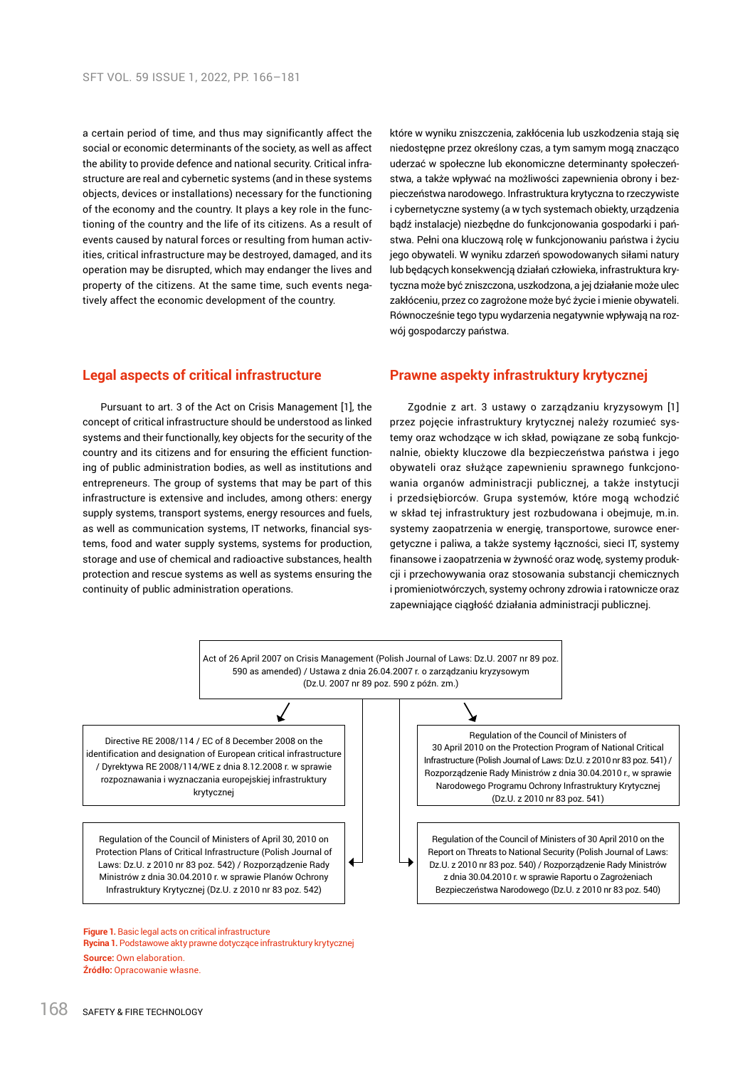a certain period of time, and thus may significantly affect the social or economic determinants of the society, as well as affect the ability to provide defence and national security. Critical infrastructure are real and cybernetic systems (and in these systems objects, devices or installations) necessary for the functioning of the economy and the country. It plays a key role in the functioning of the country and the life of its citizens. As a result of events caused by natural forces or resulting from human activities, critical infrastructure may be destroyed, damaged, and its operation may be disrupted, which may endanger the lives and property of the citizens. At the same time, such events negatively affect the economic development of the country.

które w wyniku zniszczenia, zakłócenia lub uszkodzenia stają się niedostępne przez określony czas, a tym samym mogą znacząco uderzać w społeczne lub ekonomiczne determinanty społeczeństwa, a także wpływać na możliwości zapewnienia obrony i bezpieczeństwa narodowego. Infrastruktura krytyczna to rzeczywiste i cybernetyczne systemy (a w tych systemach obiekty, urządzenia bądź instalacje) niezbędne do funkcjonowania gospodarki i państwa. Pełni ona kluczową rolę w funkcjonowaniu państwa i życiu jego obywateli. W wyniku zdarzeń spowodowanych siłami natury lub będących konsekwencją działań człowieka, infrastruktura krytyczna może być zniszczona, uszkodzona, a jej działanie może ulec zakłóceniu, przez co zagrożone może być życie i mienie obywateli. Równocześnie tego typu wydarzenia negatywnie wpływają na rozwój gospodarczy państwa.

## **Legal aspects of critical infrastructure**

Pursuant to art. 3 of the Act on Crisis Management [1], the concept of critical infrastructure should be understood as linked systems and their functionally, key objects for the security of the country and its citizens and for ensuring the efficient functioning of public administration bodies, as well as institutions and entrepreneurs. The group of systems that may be part of this infrastructure is extensive and includes, among others: energy supply systems, transport systems, energy resources and fuels, as well as communication systems, IT networks, financial systems, food and water supply systems, systems for production, storage and use of chemical and radioactive substances, health protection and rescue systems as well as systems ensuring the continuity of public administration operations.

#### **Prawne aspekty infrastruktury krytycznej**

Zgodnie z art. 3 ustawy o zarządzaniu kryzysowym [1] przez pojęcie infrastruktury krytycznej należy rozumieć systemy oraz wchodzące w ich skład, powiązane ze sobą funkcjonalnie, obiekty kluczowe dla bezpieczeństwa państwa i jego obywateli oraz służące zapewnieniu sprawnego funkcjonowania organów administracji publicznej, a także instytucji i przedsiębiorców. Grupa systemów, które mogą wchodzić w skład tej infrastruktury jest rozbudowana i obejmuje, m.in. systemy zaopatrzenia w energię, transportowe, surowce energetyczne i paliwa, a także systemy łączności, sieci IT, systemy finansowe i zaopatrzenia w żywność oraz wodę, systemy produkcji i przechowywania oraz stosowania substancji chemicznych i promieniotwórczych, systemy ochrony zdrowia i ratownicze oraz zapewniające ciągłość działania administracji publicznej.



**Rycina 1.** Podstawowe akty prawne dotyczące infrastruktury krytycznej **Source:** Own elaboration. **Źródło:** Opracowanie własne.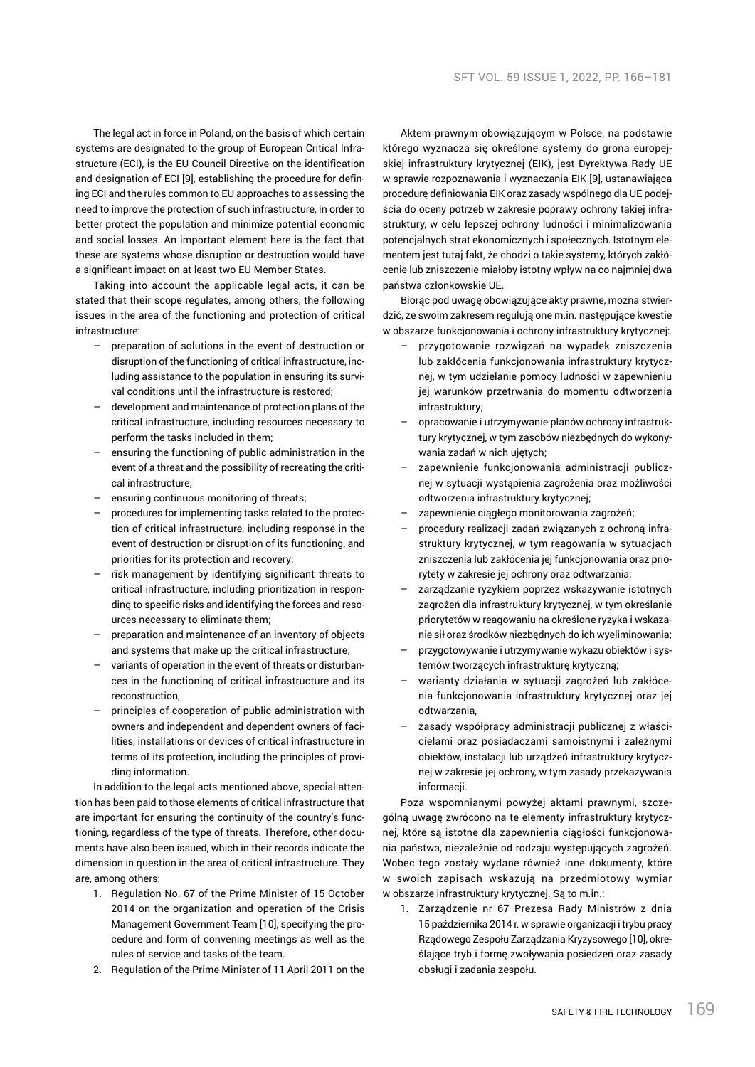The legal act in force in Poland, on the basis of which certain systems are designated to the group of European Critical Infrastructure (ECI), is the EU Council Directive on the identification and designation of ECI [9], establishing the procedure for defining ECI and the rules common to EU approaches to assessing the need to improve the protection of such infrastructure, in order to better protect the population and minimize potential economic and social losses. An important element here is the fact that these are systems whose disruption or destruction would have a significant impact on at least two EU Member States.

Taking into account the applicable legal acts, it can be stated that their scope regulates, among others, the following issues in the area of the functioning and protection of critical infrastructure:

- preparation of solutions in the event of destruction or disruption of the functioning of critical infrastructure, including assistance to the population in ensuring its survival conditions until the infrastructure is restored;
- development and maintenance of protection plans of the critical infrastructure, including resources necessary to perform the tasks included in them;
- ensuring the functioning of public administration in the event of a threat and the possibility of recreating the critical infrastructure;
- ensuring continuous monitoring of threats;
- procedures for implementing tasks related to the protection of critical infrastructure, including response in the event of destruction or disruption of its functioning, and priorities for its protection and recovery;
- risk management by identifying significant threats to critical infrastructure, including prioritization in responding to specific risks and identifying the forces and resources necessary to eliminate them;
- preparation and maintenance of an inventory of objects and systems that make up the critical infrastructure;
- variants of operation in the event of threats or disturbances in the functioning of critical infrastructure and its reconstruction,
- principles of cooperation of public administration with owners and independent and dependent owners of facilities, installations or devices of critical infrastructure in terms of its protection, including the principles of providing information.

In addition to the legal acts mentioned above, special attention has been paid to those elements of critical infrastructure that are important for ensuring the continuity of the country's functioning, regardless of the type of threats. Therefore, other documents have also been issued, which in their records indicate the dimension in question in the area of critical infrastructure. They are, among others:

- 1. Regulation No. 67 of the Prime Minister of 15 October 2014 on the organization and operation of the Crisis Management Government Team [10], specifying the procedure and form of convening meetings as well as the rules of service and tasks of the team.
- 2. Regulation of the Prime Minister of 11 April 2011 on the

Aktem prawnym obowiązującym w Polsce, na podstawie którego wyznacza się określone systemy do grona europejskiej infrastruktury krytycznej (EIK), jest Dyrektywa Rady UE w sprawie rozpoznawania i wyznaczania EIK [9], ustanawiająca procedurę definiowania EIK oraz zasady wspólnego dla UE podejścia do oceny potrzeb w zakresie poprawy ochrony takiej infrastruktury, w celu lepszej ochrony ludności i minimalizowania potencjalnych strat ekonomicznych i społecznych. Istotnym elementem jest tutaj fakt, że chodzi o takie systemy, których zakłócenie lub zniszczenie miałoby istotny wpływ na co najmniej dwa państwa członkowskie UE.

Biorąc pod uwagę obowiązujące akty prawne, można stwierdzić, że swoim zakresem regulują one m.in. następujące kwestie w obszarze funkcjonowania i ochrony infrastruktury krytycznej:

- przygotowanie rozwiązań na wypadek zniszczenia lub zakłócenia funkcjonowania infrastruktury krytycznej, w tym udzielanie pomocy ludności w zapewnieniu jej warunków przetrwania do momentu odtworzenia infrastruktury;
- opracowanie i utrzymywanie planów ochrony infrastruktury krytycznej, w tym zasobów niezbędnych do wykonywania zadań w nich ujętych;
- zapewnienie funkcjonowania administracji publicznej w sytuacji wystąpienia zagrożenia oraz możliwości odtworzenia infrastruktury krytycznej;
- zapewnienie ciągłego monitorowania zagrożeń;
- procedury realizacji zadań związanych z ochroną infrastruktury krytycznej, w tym reagowania w sytuacjach zniszczenia lub zakłócenia jej funkcjonowania oraz priorytety w zakresie jej ochrony oraz odtwarzania;
- zarządzanie ryzykiem poprzez wskazywanie istotnych zagrożeń dla infrastruktury krytycznej, w tym określanie priorytetów w reagowaniu na określone ryzyka i wskazanie sił oraz środków niezbędnych do ich wyeliminowania;
- przygotowywanie i utrzymywanie wykazu obiektów i systemów tworzących infrastrukturę krytyczną;
- warianty działania w sytuacji zagrożeń lub zakłócenia funkcjonowania infrastruktury krytycznej oraz jej odtwarzania,
- zasady współpracy administracji publicznej z właścicielami oraz posiadaczami samoistnymi i zależnymi obiektów, instalacji lub urządzeń infrastruktury krytycznej w zakresie jej ochrony, w tym zasady przekazywania informacji

Poza wspomnianymi powyżej aktami prawnymi, szczególną uwagę zwrócono na te elementy infrastruktury krytycznej, które są istotne dla zapewnienia ciągłości funkcjonowania państwa, niezależnie od rodzaju występujących zagrożeń. Wobec tego zostały wydane również inne dokumenty, które w swoich zapisach wskazują na przedmiotowy wymiar w obszarze infrastruktury krytycznej. Są to m.in.:

1. Zarządzenie nr 67 Prezesa Rady Ministrów z dnia 15 października 2014 r. w sprawie organizacji i trybu pracy Rządowego Zespołu Zarządzania Kryzysowego [10], określające tryb i formę zwoływania posiedzeń oraz zasady obsługi i zadania zespołu.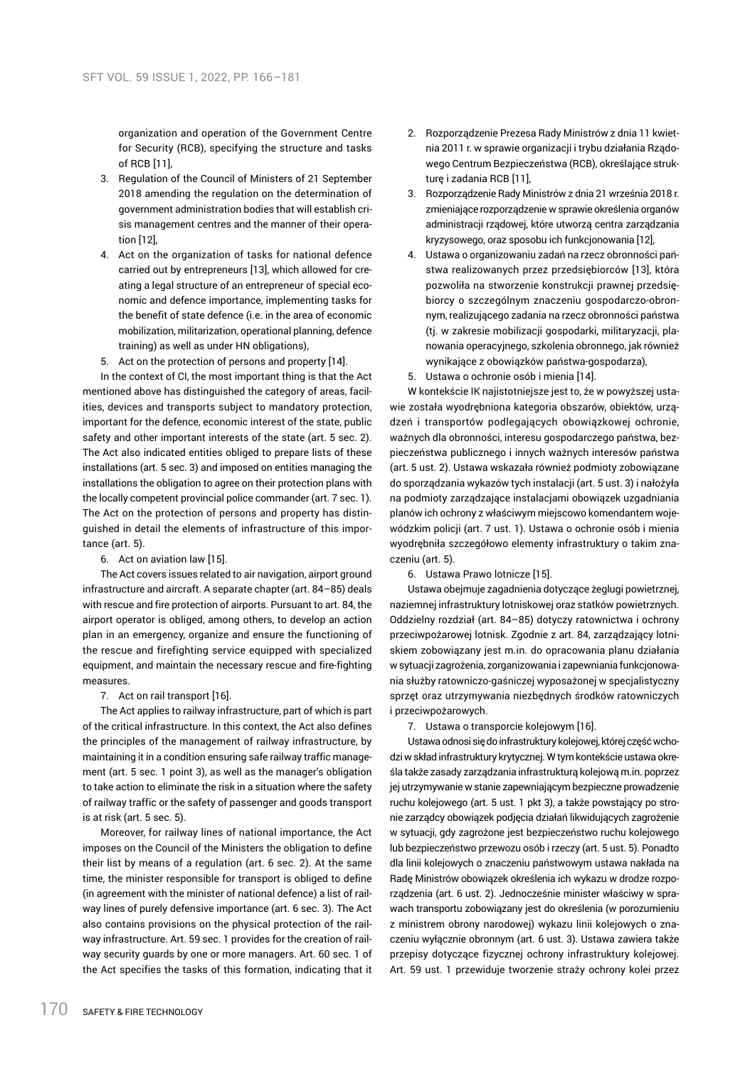organization and operation of the Government Centre for Security (RCB), specifying the structure and tasks of RCB [11],

- 3. Regulation of the Council of Ministers of 21 September 2018 amending the regulation on the determination of government administration bodies that will establish crisis management centres and the manner of their operation [12],
- 4. Act on the organization of tasks for national defence carried out by entrepreneurs [13], which allowed for creating a legal structure of an entrepreneur of special economic and defence importance, implementing tasks for the benefit of state defence (i.e. in the area of economic mobilization, militarization, operational planning, defence training) as well as under HN obligations),
- 5. Act on the protection of persons and property [14].

In the context of CI, the most important thing is that the Act mentioned above has distinguished the category of areas, facilities, devices and transports subject to mandatory protection, important for the defence, economic interest of the state, public safety and other important interests of the state (art. 5 sec. 2). The Act also indicated entities obliged to prepare lists of these installations (art. 5 sec. 3) and imposed on entities managing the installations the obligation to agree on their protection plans with the locally competent provincial police commander (art. 7 sec. 1). The Act on the protection of persons and property has distinguished in detail the elements of infrastructure of this importance (art. 5).

#### 6. Act on aviation law [15].

The Act covers issues related to air navigation, airport ground infrastructure and aircraft. A separate chapter (art. 84–85) deals with rescue and fire protection of airports. Pursuant to art. 84, the airport operator is obliged, among others, to develop an action plan in an emergency, organize and ensure the functioning of the rescue and firefighting service equipped with specialized equipment, and maintain the necessary rescue and fire-fighting measures.

#### 7. Act on rail transport [16].

The Act applies to railway infrastructure, part of which is part of the critical infrastructure. In this context, the Act also defines the principles of the management of railway infrastructure, by maintaining it in a condition ensuring safe railway traffic management (art. 5 sec. 1 point 3), as well as the manager's obligation to take action to eliminate the risk in a situation where the safety of railway traffic or the safety of passenger and goods transport is at risk (art. 5 sec. 5).

Moreover, for railway lines of national importance, the Act imposes on the Council of the Ministers the obligation to define their list by means of a regulation (art. 6 sec. 2). At the same time, the minister responsible for transport is obliged to define (in agreement with the minister of national defence) a list of railway lines of purely defensive importance (art. 6 sec. 3). The Act also contains provisions on the physical protection of the railway infrastructure. Art. 59 sec. 1 provides for the creation of railway security guards by one or more managers. Art. 60 sec. 1 of the Act specifies the tasks of this formation, indicating that it

- 2. Rozporządzenie Prezesa Rady Ministrów z dnia 11 kwietnia 2011 r. w sprawie organizacji i trybu działania Rządowego Centrum Bezpieczeństwa (RCB), określające strukturę i zadania RCB [11],
- 3. Rozporządzenie Rady Ministrów z dnia 21 września 2018 r. zmieniające rozporządzenie w sprawie określenia organów administracji rządowej, które utworzą centra zarządzania kryzysowego, oraz sposobu ich funkcjonowania [12],
- 4. Ustawa o organizowaniu zadań na rzecz obronności państwa realizowanych przez przedsiębiorców [13], która pozwoliła na stworzenie konstrukcji prawnej przedsiębiorcy o szczególnym znaczeniu gospodarczo-obronnym, realizującego zadania na rzecz obronności państwa (tj. w zakresie mobilizacji gospodarki, militaryzacji, planowania operacyjnego, szkolenia obronnego, jak również wynikające z obowiązków państwa-gospodarza),
- 5. Ustawa o ochronie osób i mienia [14].

W kontekście IK najistotniejsze jest to, że w powyższej ustawie została wyodrębniona kategoria obszarów, obiektów, urządzeń i transportów podlegających obowiązkowej ochronie, ważnych dla obronności, interesu gospodarczego państwa, bezpieczeństwa publicznego i innych ważnych interesów państwa (art. 5 ust. 2). Ustawa wskazała również podmioty zobowiązane do sporządzania wykazów tych instalacji (art. 5 ust. 3) i nałożyła na podmioty zarządzające instalacjami obowiązek uzgadniania planów ich ochrony z właściwym miejscowo komendantem wojewódzkim policji (art. 7 ust. 1). Ustawa o ochronie osób i mienia wyodrębniła szczegółowo elementy infrastruktury o takim znaczeniu (art. 5).

6. Ustawa Prawo lotnicze [15].

Ustawa obejmuje zagadnienia dotyczące żeglugi powietrznej, naziemnej infrastruktury lotniskowej oraz statków powietrznych. Oddzielny rozdział (art. 84–85) dotyczy ratownictwa i ochrony przeciwpożarowej lotnisk. Zgodnie z art. 84, zarządzający lotniskiem zobowiązany jest m.in. do opracowania planu działania w sytuacji zagrożenia, zorganizowania i zapewniania funkcjonowania służby ratowniczo-gaśniczej wyposażonej w specjalistyczny sprzęt oraz utrzymywania niezbędnych środków ratowniczych i przeciwpożarowych.

7. Ustawa o transporcie kolejowym [16].

Ustawa odnosi się do infrastruktury kolejowej, której część wchodzi w skład infrastruktury krytycznej. W tym kontekście ustawa określa także zasady zarządzania infrastrukturą kolejową m.in. poprzez jej utrzymywanie w stanie zapewniającym bezpieczne prowadzenie ruchu kolejowego (art. 5 ust. 1 pkt 3), a także powstający po stronie zarządcy obowiązek podjęcia działań likwidujących zagrożenie w sytuacji, gdy zagrożone jest bezpieczeństwo ruchu kolejowego lub bezpieczeństwo przewozu osób i rzeczy (art. 5 ust. 5). Ponadto dla linii kolejowych o znaczeniu państwowym ustawa nakłada na Radę Ministrów obowiązek określenia ich wykazu w drodze rozporządzenia (art. 6 ust. 2). Jednocześnie minister właściwy w sprawach transportu zobowiązany jest do określenia (w porozumieniu z ministrem obrony narodowej) wykazu linii kolejowych o znaczeniu wyłącznie obronnym (art. 6 ust. 3). Ustawa zawiera także przepisy dotyczące fizycznej ochrony infrastruktury kolejowej. Art. 59 ust. 1 przewiduje tworzenie straży ochrony kolei przez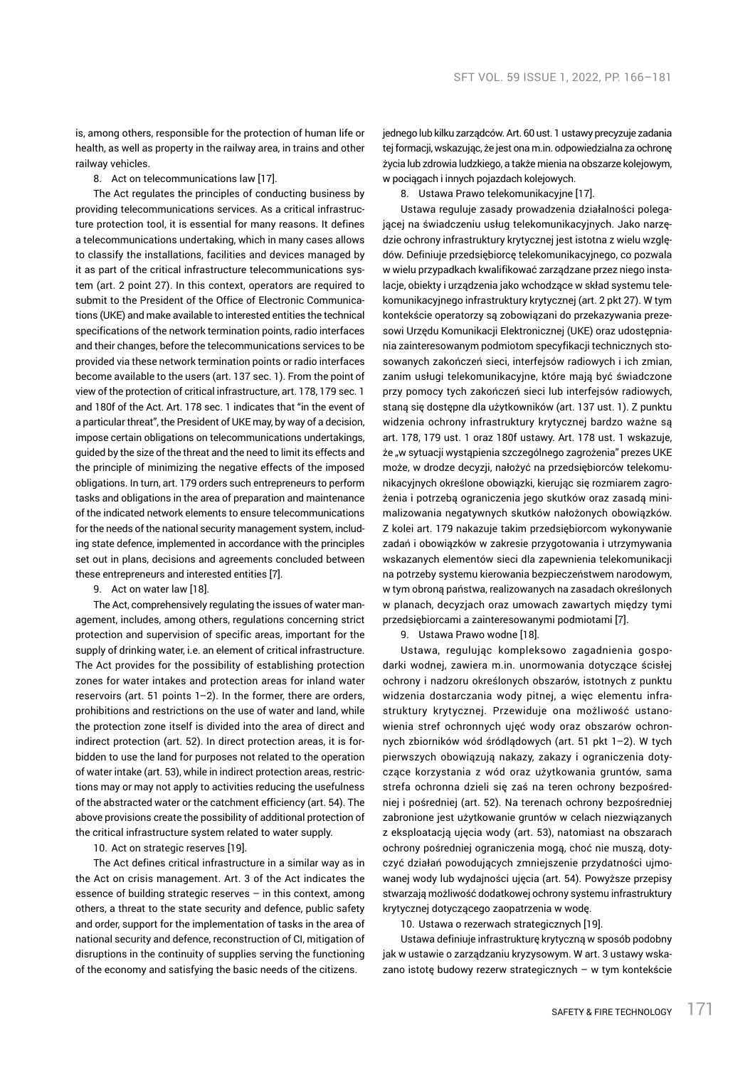is, among others, responsible for the protection of human life or health, as well as property in the railway area, in trains and other railway vehicles.

8. Act on telecommunications law [17].

The Act regulates the principles of conducting business by providing telecommunications services. As a critical infrastructure protection tool, it is essential for many reasons. It defines a telecommunications undertaking, which in many cases allows to classify the installations, facilities and devices managed by it as part of the critical infrastructure telecommunications system (art. 2 point 27). In this context, operators are required to submit to the President of the Office of Electronic Communications (UKE) and make available to interested entities the technical specifications of the network termination points, radio interfaces and their changes, before the telecommunications services to be provided via these network termination points or radio interfaces become available to the users (art. 137 sec. 1). From the point of view of the protection of critical infrastructure, art. 178, 179 sec. 1 and 180f of the Act. Art. 178 sec. 1 indicates that "in the event of a particular threat", the President of UKE may, by way of a decision, impose certain obligations on telecommunications undertakings, guided by the size of the threat and the need to limit its effects and the principle of minimizing the negative effects of the imposed obligations. In turn, art. 179 orders such entrepreneurs to perform tasks and obligations in the area of preparation and maintenance of the indicated network elements to ensure telecommunications for the needs of the national security management system, including state defence, implemented in accordance with the principles set out in plans, decisions and agreements concluded between these entrepreneurs and interested entities [7].

9. Act on water law [18].

The Act, comprehensively regulating the issues of water management, includes, among others, regulations concerning strict protection and supervision of specific areas, important for the supply of drinking water, i.e. an element of critical infrastructure. The Act provides for the possibility of establishing protection zones for water intakes and protection areas for inland water reservoirs (art. 51 points 1–2). In the former, there are orders, prohibitions and restrictions on the use of water and land, while the protection zone itself is divided into the area of direct and indirect protection (art. 52). In direct protection areas, it is forbidden to use the land for purposes not related to the operation of water intake (art. 53), while in indirect protection areas, restrictions may or may not apply to activities reducing the usefulness of the abstracted water or the catchment efficiency (art. 54). The above provisions create the possibility of additional protection of the critical infrastructure system related to water supply.

10. Act on strategic reserves [19].

The Act defines critical infrastructure in a similar way as in the Act on crisis management. Art. 3 of the Act indicates the essence of building strategic reserves – in this context, among others, a threat to the state security and defence, public safety and order, support for the implementation of tasks in the area of national security and defence, reconstruction of CI, mitigation of disruptions in the continuity of supplies serving the functioning of the economy and satisfying the basic needs of the citizens.

jednego lub kilku zarządców. Art. 60 ust. 1 ustawy precyzuje zadania tej formacji, wskazując, że jest ona m.in. odpowiedzialna za ochronę życia lub zdrowia ludzkiego, a także mienia na obszarze kolejowym, w pociągach i innych pojazdach kolejowych.

8. Ustawa Prawo telekomunikacyjne [17].

Ustawa reguluje zasady prowadzenia działalności polegającej na świadczeniu usług telekomunikacyjnych. Jako narzędzie ochrony infrastruktury krytycznej jest istotna z wielu względów. Definiuje przedsiębiorcę telekomunikacyjnego, co pozwala w wielu przypadkach kwalifikować zarządzane przez niego instalacje, obiekty i urządzenia jako wchodzące w skład systemu telekomunikacyjnego infrastruktury krytycznej (art. 2 pkt 27). W tym kontekście operatorzy są zobowiązani do przekazywania prezesowi Urzędu Komunikacji Elektronicznej (UKE) oraz udostępniania zainteresowanym podmiotom specyfikacji technicznych stosowanych zakończeń sieci, interfejsów radiowych i ich zmian, zanim usługi telekomunikacyjne, które mają być świadczone przy pomocy tych zakończeń sieci lub interfejsów radiowych, staną się dostępne dla użytkowników (art. 137 ust. 1). Z punktu widzenia ochrony infrastruktury krytycznej bardzo ważne są art. 178, 179 ust. 1 oraz 180f ustawy. Art. 178 ust. 1 wskazuje, że "w sytuacji wystąpienia szczególnego zagrożenia" prezes UKE może, w drodze decyzji, nałożyć na przedsiębiorców telekomunikacyjnych określone obowiązki, kierując się rozmiarem zagrożenia i potrzebą ograniczenia jego skutków oraz zasadą minimalizowania negatywnych skutków nałożonych obowiązków. Z kolei art. 179 nakazuje takim przedsiębiorcom wykonywanie zadań i obowiązków w zakresie przygotowania i utrzymywania wskazanych elementów sieci dla zapewnienia telekomunikacji na potrzeby systemu kierowania bezpieczeństwem narodowym, w tym obroną państwa, realizowanych na zasadach określonych w planach, decyzjach oraz umowach zawartych między tymi przedsiębiorcami a zainteresowanymi podmiotami [7].

9. Ustawa Prawo wodne [18].

Ustawa, regulując kompleksowo zagadnienia gospodarki wodnej, zawiera m.in. unormowania dotyczące ścisłej ochrony i nadzoru określonych obszarów, istotnych z punktu widzenia dostarczania wody pitnej, a więc elementu infrastruktury krytycznej. Przewiduje ona możliwość ustanowienia stref ochronnych ujęć wody oraz obszarów ochronnych zbiorników wód śródlądowych (art. 51 pkt 1–2). W tych pierwszych obowiązują nakazy, zakazy i ograniczenia dotyczące korzystania z wód oraz użytkowania gruntów, sama strefa ochronna dzieli się zaś na teren ochrony bezpośredniej i pośredniej (art. 52). Na terenach ochrony bezpośredniej zabronione jest użytkowanie gruntów w celach niezwiązanych z eksploatacją ujęcia wody (art. 53), natomiast na obszarach ochrony pośredniej ograniczenia mogą, choć nie muszą, dotyczyć działań powodujących zmniejszenie przydatności ujmowanej wody lub wydajności ujęcia (art. 54). Powyższe przepisy stwarzają możliwość dodatkowej ochrony systemu infrastruktury krytycznej dotyczącego zaopatrzenia w wodę.

10. Ustawa o rezerwach strategicznych [19].

Ustawa definiuje infrastrukturę krytyczną w sposób podobny jak w ustawie o zarządzaniu kryzysowym. W art. 3 ustawy wskazano istotę budowy rezerw strategicznych – w tym kontekście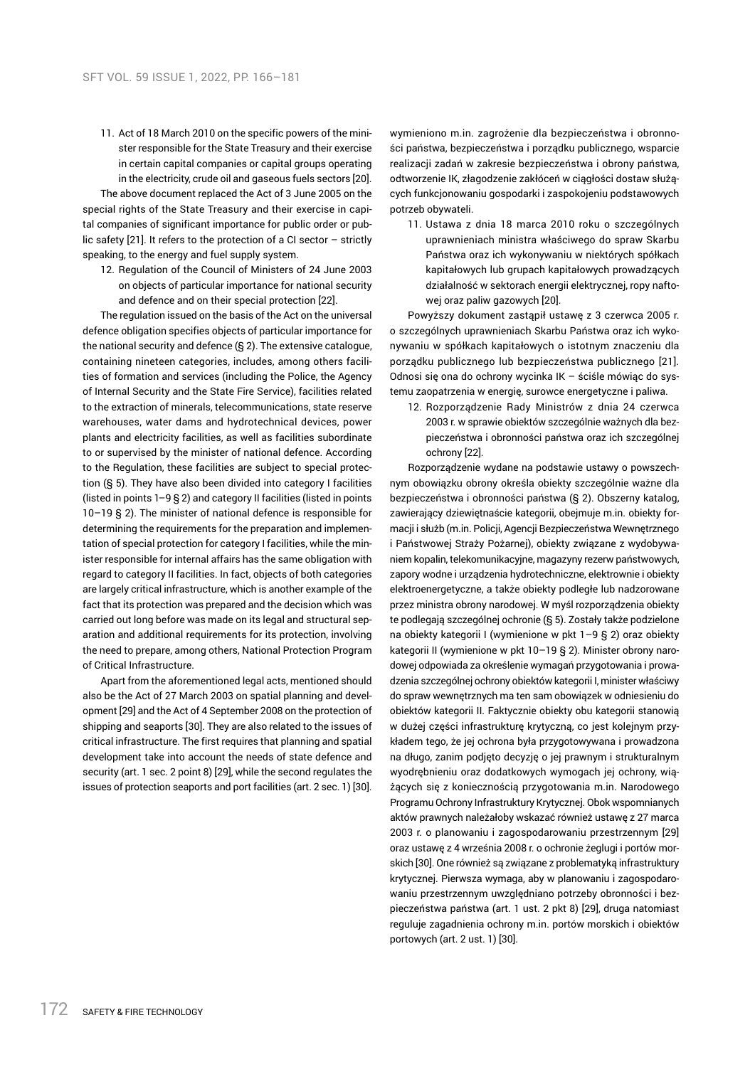11. Act of 18 March 2010 on the specific powers of the minister responsible for the State Treasury and their exercise in certain capital companies or capital groups operating in the electricity, crude oil and gaseous fuels sectors [20].

The above document replaced the Act of 3 June 2005 on the special rights of the State Treasury and their exercise in capital companies of significant importance for public order or public safety [21]. It refers to the protection of a CI sector – strictly speaking, to the energy and fuel supply system.

12. Regulation of the Council of Ministers of 24 June 2003 on objects of particular importance for national security and defence and on their special protection [22].

The regulation issued on the basis of the Act on the universal defence obligation specifies objects of particular importance for the national security and defence (§ 2). The extensive catalogue, containing nineteen categories, includes, among others facilities of formation and services (including the Police, the Agency of Internal Security and the State Fire Service), facilities related to the extraction of minerals, telecommunications, state reserve warehouses, water dams and hydrotechnical devices, power plants and electricity facilities, as well as facilities subordinate to or supervised by the minister of national defence. According to the Regulation, these facilities are subject to special protection (§ 5). They have also been divided into category I facilities (listed in points 1–9 § 2) and category II facilities (listed in points 10–19 § 2). The minister of national defence is responsible for determining the requirements for the preparation and implementation of special protection for category I facilities, while the minister responsible for internal affairs has the same obligation with regard to category II facilities. In fact, objects of both categories are largely critical infrastructure, which is another example of the fact that its protection was prepared and the decision which was carried out long before was made on its legal and structural separation and additional requirements for its protection, involving the need to prepare, among others, National Protection Program of Critical Infrastructure.

Apart from the aforementioned legal acts, mentioned should also be the Act of 27 March 2003 on spatial planning and development [29] and the Act of 4 September 2008 on the protection of shipping and seaports [30]. They are also related to the issues of critical infrastructure. The first requires that planning and spatial development take into account the needs of state defence and security (art. 1 sec. 2 point 8) [29], while the second regulates the issues of protection seaports and port facilities (art. 2 sec. 1) [30].

wymieniono m.in. zagrożenie dla bezpieczeństwa i obronności państwa, bezpieczeństwa i porządku publicznego, wsparcie realizacji zadań w zakresie bezpieczeństwa i obrony państwa, odtworzenie IK, złagodzenie zakłóceń w ciągłości dostaw służących funkcjonowaniu gospodarki i zaspokojeniu podstawowych potrzeb obywateli.

11. Ustawa z dnia 18 marca 2010 roku o szczególnych uprawnieniach ministra właściwego do spraw Skarbu Państwa oraz ich wykonywaniu w niektórych spółkach kapitałowych lub grupach kapitałowych prowadzących działalność w sektorach energii elektrycznej, ropy naftowej oraz paliw gazowych [20].

Powyższy dokument zastąpił ustawę z 3 czerwca 2005 r. o szczególnych uprawnieniach Skarbu Państwa oraz ich wykonywaniu w spółkach kapitałowych o istotnym znaczeniu dla porządku publicznego lub bezpieczeństwa publicznego [21]. Odnosi się ona do ochrony wycinka IK – ściśle mówiąc do systemu zaopatrzenia w energię, surowce energetyczne i paliwa.

12. Rozporządzenie Rady Ministrów z dnia 24 czerwca 2003 r. w sprawie obiektów szczególnie ważnych dla bezpieczeństwa i obronności państwa oraz ich szczególnej ochrony [22].

Rozporządzenie wydane na podstawie ustawy o powszechnym obowiązku obrony określa obiekty szczególnie ważne dla bezpieczeństwa i obronności państwa (§ 2). Obszerny katalog, zawierający dziewiętnaście kategorii, obejmuje m.in. obiekty formacji i służb (m.in. Policji, Agencji Bezpieczeństwa Wewnętrznego i Państwowej Straży Pożarnej), obiekty związane z wydobywaniem kopalin, telekomunikacyjne, magazyny rezerw państwowych, zapory wodne i urządzenia hydrotechniczne, elektrownie i obiekty elektroenergetyczne, a także obiekty podległe lub nadzorowane przez ministra obrony narodowej. W myśl rozporządzenia obiekty te podlegają szczególnej ochronie (§ 5). Zostały także podzielone na obiekty kategorii I (wymienione w pkt 1–9 § 2) oraz obiekty kategorii II (wymienione w pkt 10–19 § 2). Minister obrony narodowej odpowiada za określenie wymagań przygotowania i prowadzenia szczególnej ochrony obiektów kategorii I, minister właściwy do spraw wewnętrznych ma ten sam obowiązek w odniesieniu do obiektów kategorii II. Faktycznie obiekty obu kategorii stanowią w dużej części infrastrukturę krytyczną, co jest kolejnym przykładem tego, że jej ochrona była przygotowywana i prowadzona na długo, zanim podjęto decyzję o jej prawnym i strukturalnym wyodrębnieniu oraz dodatkowych wymogach jej ochrony, wiążących się z koniecznością przygotowania m.in. Narodowego Programu Ochrony Infrastruktury Krytycznej. Obok wspomnianych aktów prawnych należałoby wskazać również ustawę z 27 marca 2003 r. o planowaniu i zagospodarowaniu przestrzennym [29] oraz ustawę z 4 września 2008 r. o ochronie żeglugi i portów morskich [30]. One również są związane z problematyką infrastruktury krytycznej. Pierwsza wymaga, aby w planowaniu i zagospodarowaniu przestrzennym uwzględniano potrzeby obronności i bezpieczeństwa państwa (art. 1 ust. 2 pkt 8) [29], druga natomiast reguluje zagadnienia ochrony m.in. portów morskich i obiektów portowych (art. 2 ust. 1) [30].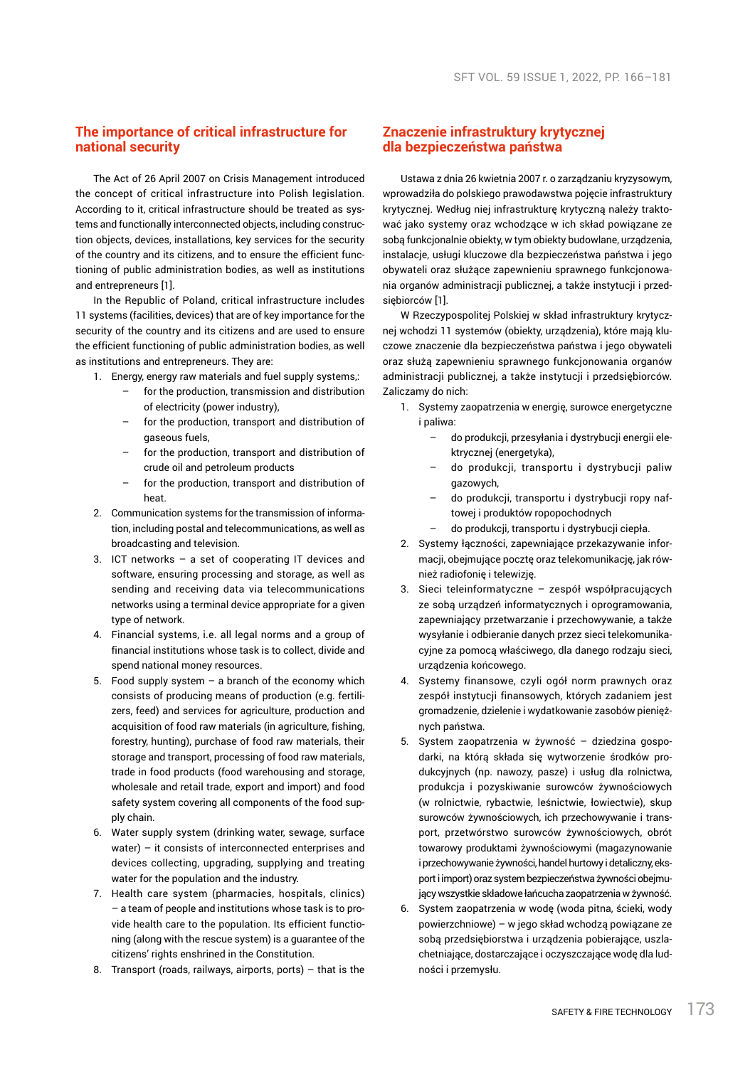# **The importance of critical infrastructure for national security**

The Act of 26 April 2007 on Crisis Management introduced the concept of critical infrastructure into Polish legislation. According to it, critical infrastructure should be treated as systems and functionally interconnected objects, including construction objects, devices, installations, key services for the security of the country and its citizens, and to ensure the efficient functioning of public administration bodies, as well as institutions and entrepreneurs [1].

In the Republic of Poland, critical infrastructure includes 11 systems (facilities, devices) that are of key importance for the security of the country and its citizens and are used to ensure the efficient functioning of public administration bodies, as well as institutions and entrepreneurs. They are:

- 1. Energy, energy raw materials and fuel supply systems,:
	- for the production, transmission and distribution of electricity (power industry),
	- for the production, transport and distribution of gaseous fuels,
	- for the production, transport and distribution of crude oil and petroleum products
	- for the production, transport and distribution of heat.
- 2. Communication systems for the transmission of information, including postal and telecommunications, as well as broadcasting and television.
- 3. ICT networks a set of cooperating IT devices and software, ensuring processing and storage, as well as sending and receiving data via telecommunications networks using a terminal device appropriate for a given type of network.
- 4. Financial systems, i.e. all legal norms and a group of financial institutions whose task is to collect, divide and spend national money resources.
- 5. Food supply system  $-$  a branch of the economy which consists of producing means of production (e.g. fertilizers, feed) and services for agriculture, production and acquisition of food raw materials (in agriculture, fishing, forestry, hunting), purchase of food raw materials, their storage and transport, processing of food raw materials, trade in food products (food warehousing and storage, wholesale and retail trade, export and import) and food safety system covering all components of the food supply chain.
- 6. Water supply system (drinking water, sewage, surface water) – it consists of interconnected enterprises and devices collecting, upgrading, supplying and treating water for the population and the industry.
- 7. Health care system (pharmacies, hospitals, clinics) – a team of people and institutions whose task is to provide health care to the population. Its efficient functioning (along with the rescue system) is a guarantee of the citizens' rights enshrined in the Constitution.
- 8. Transport (roads, railways, airports, ports) that is the

# **Znaczenie infrastruktury krytycznej dla bezpieczeństwa państwa**

Ustawa z dnia 26 kwietnia 2007 r. o zarządzaniu kryzysowym, wprowadziła do polskiego prawodawstwa pojęcie infrastruktury krytycznej. Według niej infrastrukturę krytyczną należy traktować jako systemy oraz wchodzące w ich skład powiązane ze sobą funkcjonalnie obiekty, w tym obiekty budowlane, urządzenia, instalacje, usługi kluczowe dla bezpieczeństwa państwa i jego obywateli oraz służące zapewnieniu sprawnego funkcjonowania organów administracji publicznej, a także instytucji i przedsiębiorców [1].

W Rzeczypospolitej Polskiej w skład infrastruktury krytycznej wchodzi 11 systemów (obiekty, urządzenia), które mają kluczowe znaczenie dla bezpieczeństwa państwa i jego obywateli oraz służą zapewnieniu sprawnego funkcjonowania organów administracji publicznej, a także instytucji i przedsiębiorców. Zaliczamy do nich:

- 1. Systemy zaopatrzenia w energię, surowce energetyczne i paliwa:
	- do produkcji, przesyłania i dystrybucji energii elektrycznej (energetyka),
	- do produkcji, transportu i dystrybucji paliw gazowych,
	- do produkcji, transportu i dystrybucji ropy naftowej i produktów ropopochodnych
	- do produkcji, transportu i dystrybucji ciepła.
- 2. Systemy łączności, zapewniające przekazywanie informacji, obejmujące pocztę oraz telekomunikację, jak również radiofonię i telewizję.
- 3. Sieci teleinformatyczne zespół współpracujących ze sobą urządzeń informatycznych i oprogramowania, zapewniający przetwarzanie i przechowywanie, a także wysyłanie i odbieranie danych przez sieci telekomunikacyjne za pomocą właściwego, dla danego rodzaju sieci, urządzenia końcowego.
- 4. Systemy finansowe, czyli ogół norm prawnych oraz zespół instytucji finansowych, których zadaniem jest gromadzenie, dzielenie i wydatkowanie zasobów pieniężnych państwa.
- 5. System zaopatrzenia w żywność dziedzina gospodarki, na którą składa się wytworzenie środków produkcyjnych (np. nawozy, pasze) i usług dla rolnictwa, produkcja i pozyskiwanie surowców żywnościowych (w rolnictwie, rybactwie, leśnictwie, łowiectwie), skup surowców żywnościowych, ich przechowywanie i transport, przetwórstwo surowców żywnościowych, obrót towarowy produktami żywnościowymi (magazynowanie iprzechowywanie żywności, handel hurtowy i detaliczny, eksport i import) oraz system bezpieczeństwa żywności obejmujący wszystkie składowe łańcucha zaopatrzenia wżywność.
- 6. System zaopatrzenia w wodę (woda pitna, ścieki, wody powierzchniowe) – w jego skład wchodzą powiązane ze soba przedsiębiorstwa i urządzenia pobierające, uszląchetniające, dostarczające i oczyszczające wodę dla ludności i przemysłu.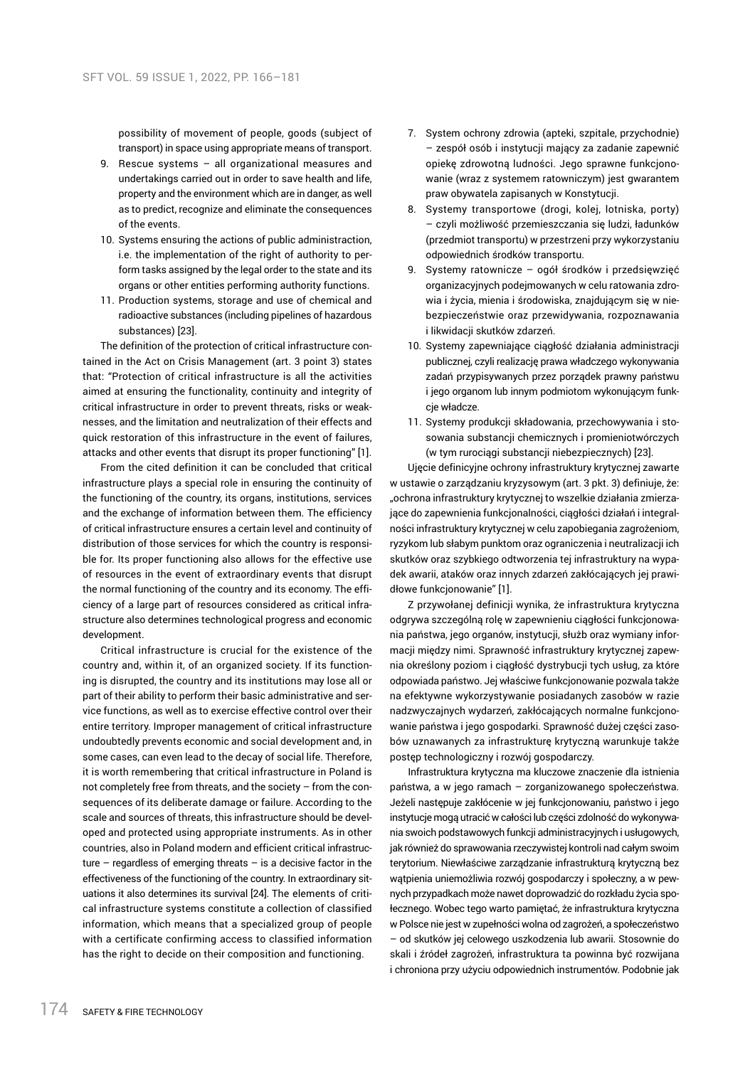possibility of movement of people, goods (subject of transport) in space using appropriate means of transport.

- 9. Rescue systems all organizational measures and undertakings carried out in order to save health and life, property and the environment which are in danger, as well as to predict, recognize and eliminate the consequences of the events.
- 10. Systems ensuring the actions of public administraction, i.e. the implementation of the right of authority to perform tasks assigned by the legal order to the state and its organs or other entities performing authority functions.
- 11. Production systems, storage and use of chemical and radioactive substances (including pipelines of hazardous substances) [23].

The definition of the protection of critical infrastructure contained in the Act on Crisis Management (art. 3 point 3) states that: "Protection of critical infrastructure is all the activities aimed at ensuring the functionality, continuity and integrity of critical infrastructure in order to prevent threats, risks or weaknesses, and the limitation and neutralization of their effects and quick restoration of this infrastructure in the event of failures, attacks and other events that disrupt its proper functioning" [1].

From the cited definition it can be concluded that critical infrastructure plays a special role in ensuring the continuity of the functioning of the country, its organs, institutions, services and the exchange of information between them. The efficiency of critical infrastructure ensures a certain level and continuity of distribution of those services for which the country is responsible for. Its proper functioning also allows for the effective use of resources in the event of extraordinary events that disrupt the normal functioning of the country and its economy. The efficiency of a large part of resources considered as critical infrastructure also determines technological progress and economic development.

Critical infrastructure is crucial for the existence of the country and, within it, of an organized society. If its functioning is disrupted, the country and its institutions may lose all or part of their ability to perform their basic administrative and service functions, as well as to exercise effective control over their entire territory. Improper management of critical infrastructure undoubtedly prevents economic and social development and, in some cases, can even lead to the decay of social life. Therefore, it is worth remembering that critical infrastructure in Poland is not completely free from threats, and the society – from the consequences of its deliberate damage or failure. According to the scale and sources of threats, this infrastructure should be developed and protected using appropriate instruments. As in other countries, also in Poland modern and efficient critical infrastructure – regardless of emerging threats – is a decisive factor in the effectiveness of the functioning of the country. In extraordinary situations it also determines its survival [24]. The elements of critical infrastructure systems constitute a collection of classified information, which means that a specialized group of people with a certificate confirming access to classified information has the right to decide on their composition and functioning.

- 7. System ochrony zdrowia (apteki, szpitale, przychodnie) – zespół osób i instytucji mający za zadanie zapewnić opiekę zdrowotną ludności. Jego sprawne funkcjonowanie (wraz z systemem ratowniczym) jest gwarantem praw obywatela zapisanych w Konstytucji.
- 8. Systemy transportowe (drogi, kolej, lotniska, porty) – czyli możliwość przemieszczania się ludzi, ładunków (przedmiot transportu) w przestrzeni przy wykorzystaniu odpowiednich środków transportu.
- 9. Systemy ratownicze ogół środków i przedsięwzięć organizacyjnych podejmowanych w celu ratowania zdrowia i życia, mienia i środowiska, znajdującym się w niebezpieczeństwie oraz przewidywania, rozpoznawania i likwidacji skutków zdarzeń.
- 10. Systemy zapewniające ciągłość działania administracji publicznej, czyli realizację prawa władczego wykonywania zadań przypisywanych przez porządek prawny państwu i jego organom lub innym podmiotom wykonującym funkcje władcze.
- 11. Systemy produkcji składowania, przechowywania i stosowania substancji chemicznych i promieniotwórczych (w tym rurociągi substancji niebezpiecznych) [23].

Ujęcie definicyjne ochrony infrastruktury krytycznej zawarte w ustawie o zarządzaniu kryzysowym (art. 3 pkt. 3) definiuje, że: "ochrona infrastruktury krytycznej to wszelkie działania zmierzające do zapewnienia funkcjonalności, ciągłości działań i integralności infrastruktury krytycznej w celu zapobiegania zagrożeniom, ryzykom lub słabym punktom oraz ograniczenia i neutralizacji ich skutków oraz szybkiego odtworzenia tej infrastruktury na wypadek awarii, ataków oraz innych zdarzeń zakłócających jej prawidłowe funkcjonowanie" [1].

Z przywołanej definicji wynika, że infrastruktura krytyczna odgrywa szczególną rolę w zapewnieniu ciągłości funkcjonowania państwa, jego organów, instytucji, służb oraz wymiany informacji między nimi. Sprawność infrastruktury krytycznej zapewnia określony poziom i ciągłość dystrybucji tych usług, za które odpowiada państwo. Jej właściwe funkcjonowanie pozwala także na efektywne wykorzystywanie posiadanych zasobów w razie nadzwyczajnych wydarzeń, zakłócających normalne funkcjonowanie państwa i jego gospodarki. Sprawność dużej części zasobów uznawanych za infrastrukturę krytyczną warunkuje także postęp technologiczny i rozwój gospodarczy.

Infrastruktura krytyczna ma kluczowe znaczenie dla istnienia państwa, a w jego ramach – zorganizowanego społeczeństwa. Jeżeli następuje zakłócenie w jej funkcjonowaniu, państwo i jego instytucje mogą utracić wcałości lub części zdolność do wykonywania swoich podstawowych funkcji administracyjnych i usługowych. jak również do sprawowania rzeczywistej kontroli nad całym swoim terytorium. Niewłaściwe zarządzanie infrastrukturą krytyczną bez wątpienia uniemożliwia rozwój gospodarczy i społeczny, a w pewnych przypadkach może nawet doprowadzić do rozkładu życia społecznego. Wobec tego warto pamiętać, że infrastruktura krytyczna w Polsce nie jest w zupełności wolna od zagrożeń, a społeczeństwo – od skutków jej celowego uszkodzenia lub awarii. Stosownie do skali i źródeł zagrożeń, infrastruktura ta powinna być rozwijana i chroniona przy użyciu odpowiednich instrumentów. Podobnie jak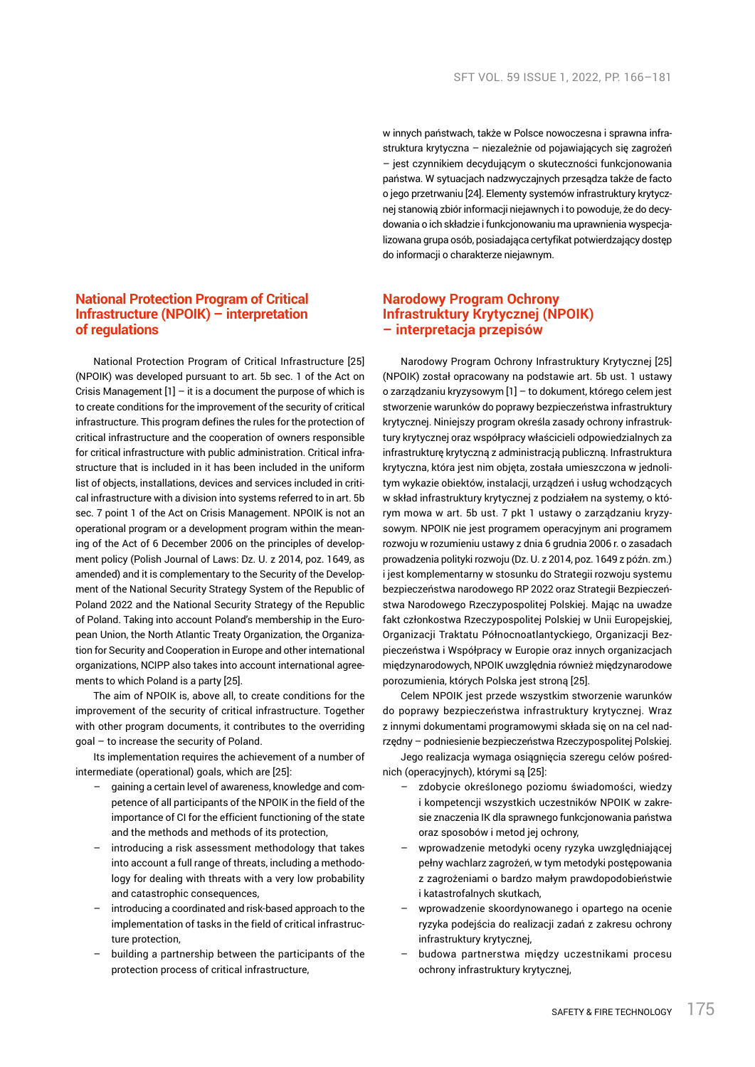# **National Protection Program of Critical Infrastructure (NPOIK) – interpretation of regulations**

National Protection Program of Critical Infrastructure [25] (NPOIK) was developed pursuant to art. 5b sec. 1 of the Act on Crisis Management  $[1]$  – it is a document the purpose of which is to create conditions for the improvement of the security of critical infrastructure. This program defines the rules for the protection of critical infrastructure and the cooperation of owners responsible for critical infrastructure with public administration. Critical infrastructure that is included in it has been included in the uniform list of objects, installations, devices and services included in critical infrastructure with a division into systems referred to in art. 5b sec. 7 point 1 of the Act on Crisis Management. NPOIK is not an operational program or a development program within the meaning of the Act of 6 December 2006 on the principles of development policy (Polish Journal of Laws: Dz. U. z 2014, poz. 1649, as amended) and it is complementary to the Security of the Development of the National Security Strategy System of the Republic of Poland 2022 and the National Security Strategy of the Republic of Poland. Taking into account Poland's membership in the European Union, the North Atlantic Treaty Organization, the Organization for Security and Cooperation in Europe and other international organizations, NCIPP also takes into account international agreements to which Poland is a party [25].

The aim of NPOIK is, above all, to create conditions for the improvement of the security of critical infrastructure. Together with other program documents, it contributes to the overriding goal – to increase the security of Poland.

Its implementation requires the achievement of a number of intermediate (operational) goals, which are [25]:

- gaining a certain level of awareness, knowledge and competence of all participants of the NPOIK in the field of the importance of CI for the efficient functioning of the state and the methods and methods of its protection,
- introducing a risk assessment methodology that takes into account a full range of threats, including a methodology for dealing with threats with a very low probability and catastrophic consequences,
- introducing a coordinated and risk-based approach to the implementation of tasks in the field of critical infrastructure protection,
- building a partnership between the participants of the protection process of critical infrastructure,

w innych państwach, także w Polsce nowoczesna i sprawna infrastruktura krytyczna – niezależnie od pojawiających się zagrożeń – jest czynnikiem decydującym o skuteczności funkcjonowania państwa. W sytuacjach nadzwyczajnych przesądza także de facto o jego przetrwaniu [24]. Elementy systemów infrastruktury krytycznej stanowią zbiór informacji niejawnych i to powoduje, że do decydowania o ich składzie ifunkcjonowaniu ma uprawnienia wyspecjalizowana grupa osób, posiadająca certyfikat potwierdzający dostęp do informacji o charakterze niejawnym.

# **Narodowy Program Ochrony Infrastruktury Krytycznej (NPOIK) – interpretacja przepisów**

Narodowy Program Ochrony Infrastruktury Krytycznej [25] (NPOIK) został opracowany na podstawie art. 5b ust. 1 ustawy o zarządzaniu kryzysowym [1] – to dokument, którego celem jest stworzenie warunków do poprawy bezpieczeństwa infrastruktury krytycznej. Niniejszy program określa zasady ochrony infrastruktury krytycznej oraz współpracy właścicieli odpowiedzialnych za infrastrukturę krytyczną z administracją publiczną. Infrastruktura krytyczna, która jest nim objęta, została umieszczona w jednolitym wykazie obiektów, instalacji, urządzeń i usług wchodzących w skład infrastruktury krytycznej z podziałem na systemy, o którym mowa w art. 5b ust. 7 pkt 1 ustawy o zarządzaniu kryzysowym. NPOIK nie jest programem operacyjnym ani programem rozwoju w rozumieniu ustawy z dnia 6 grudnia 2006 r. o zasadach prowadzenia polityki rozwoju (Dz. U. z 2014, poz. 1649 z późn. zm.) i jest komplementarny w stosunku do Strategii rozwoju systemu bezpieczeństwa narodowego RP 2022 oraz Strategii Bezpieczeństwa Narodowego Rzeczypospolitej Polskiej. Mając na uwadze fakt członkostwa Rzeczypospolitej Polskiej w Unii Europejskiej, Organizacji Traktatu Północnoatlantyckiego, Organizacji Bezpieczeństwa i Współpracy w Europie oraz innych organizacjach międzynarodowych, NPOIK uwzględnia również międzynarodowe porozumienia, których Polska jest stroną [25].

Celem NPOIK jest przede wszystkim stworzenie warunków do poprawy bezpieczeństwa infrastruktury krytycznej. Wraz z innymi dokumentami programowymi składa się on na cel nadrzędny – podniesienie bezpieczeństwa Rzeczypospolitej Polskiej.

Jego realizacja wymaga osiągnięcia szeregu celów pośrednich (operacyjnych), którymi są [25]:

- zdobycie określonego poziomu świadomości, wiedzy i kompetencji wszystkich uczestników NPOIK w zakresie znaczenia IK dla sprawnego funkcjonowania państwa oraz sposobów i metod jej ochrony,
- wprowadzenie metodyki oceny ryzyka uwzględniającej pełny wachlarz zagrożeń, w tym metodyki postępowania z zagrożeniami o bardzo małym prawdopodobieństwie i katastrofalnych skutkach,
- wprowadzenie skoordynowanego i opartego na ocenie ryzyka podejścia do realizacji zadań z zakresu ochrony infrastruktury krytycznej,
- budowa partnerstwa między uczestnikami procesu ochrony infrastruktury krytycznej,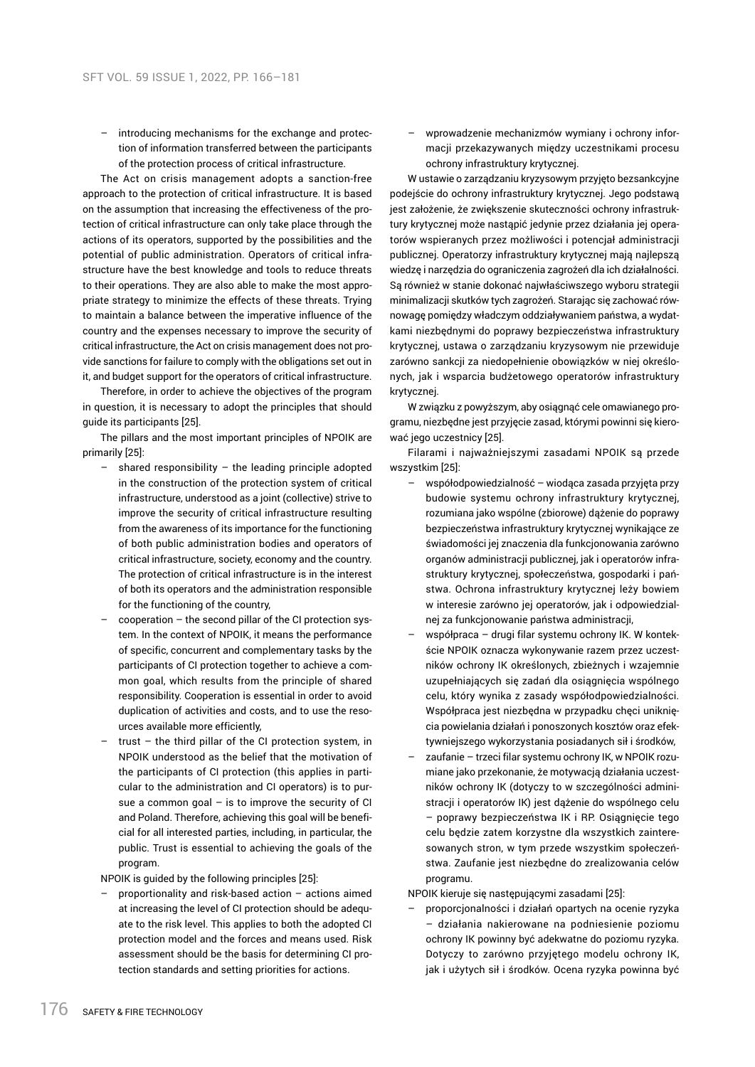– introducing mechanisms for the exchange and protection of information transferred between the participants of the protection process of critical infrastructure.

The Act on crisis management adopts a sanction-free approach to the protection of critical infrastructure. It is based on the assumption that increasing the effectiveness of the protection of critical infrastructure can only take place through the actions of its operators, supported by the possibilities and the potential of public administration. Operators of critical infrastructure have the best knowledge and tools to reduce threats to their operations. They are also able to make the most appropriate strategy to minimize the effects of these threats. Trying to maintain a balance between the imperative influence of the country and the expenses necessary to improve the security of critical infrastructure, the Act on crisis management does not provide sanctions for failure to comply with the obligations set out in it, and budget support for the operators of critical infrastructure.

Therefore, in order to achieve the objectives of the program in question, it is necessary to adopt the principles that should guide its participants [25].

The pillars and the most important principles of NPOIK are primarily [25]:

- shared responsibility  $-$  the leading principle adopted in the construction of the protection system of critical infrastructure, understood as a joint (collective) strive to improve the security of critical infrastructure resulting from the awareness of its importance for the functioning of both public administration bodies and operators of critical infrastructure, society, economy and the country. The protection of critical infrastructure is in the interest of both its operators and the administration responsible for the functioning of the country,
- cooperation the second pillar of the CI protection system. In the context of NPOIK, it means the performance of specific, concurrent and complementary tasks by the participants of CI protection together to achieve a common goal, which results from the principle of shared responsibility. Cooperation is essential in order to avoid duplication of activities and costs, and to use the resources available more efficiently,
- trust the third pillar of the CI protection system, in NPOIK understood as the belief that the motivation of the participants of CI protection (this applies in particular to the administration and CI operators) is to pursue a common goal  $-$  is to improve the security of CI and Poland. Therefore, achieving this goal will be beneficial for all interested parties, including, in particular, the public. Trust is essential to achieving the goals of the program.

NPOIK is guided by the following principles [25]:

– proportionality and risk-based action – actions aimed at increasing the level of CI protection should be adequate to the risk level. This applies to both the adopted CI protection model and the forces and means used. Risk assessment should be the basis for determining CI protection standards and setting priorities for actions.

– wprowadzenie mechanizmów wymiany i ochrony informacji przekazywanych między uczestnikami procesu ochrony infrastruktury krytycznej.

W ustawie o zarządzaniu kryzysowym przyjęto bezsankcyjne podejście do ochrony infrastruktury krytycznej. Jego podstawą jest założenie, że zwiększenie skuteczności ochrony infrastruktury krytycznej może nastąpić jedynie przez działania jej operatorów wspieranych przez możliwości i potencjał administracji publicznej. Operatorzy infrastruktury krytycznej mają najlepszą wiedzę i narzędzia do ograniczenia zagrożeń dla ich działalności. Są również w stanie dokonać najwłaściwszego wyboru strategii minimalizacji skutków tych zagrożeń. Starając się zachować równowagę pomiędzy władczym oddziaływaniem państwa, a wydatkami niezbędnymi do poprawy bezpieczeństwa infrastruktury krytycznej, ustawa o zarządzaniu kryzysowym nie przewiduje zarówno sankcji za niedopełnienie obowiązków w niej określonych, jak i wsparcia budżetowego operatorów infrastruktury krytycznej.

W związku z powyższym, aby osiągnąć cele omawianego programu, niezbędne jest przyjęcie zasad, którymi powinni się kierować jego uczestnicy [25].

Filarami i najważniejszymi zasadami NPOIK są przede wszystkim [25]:

- współodpowiedzialność wiodąca zasada przyjęta przy budowie systemu ochrony infrastruktury krytycznej, rozumiana jako wspólne (zbiorowe) dążenie do poprawy bezpieczeństwa infrastruktury krytycznej wynikające ze świadomości jej znaczenia dla funkcjonowania zarówno organów administracji publicznej, jak i operatorów infrastruktury krytycznej, społeczeństwa, gospodarki i państwa. Ochrona infrastruktury krytycznej leży bowiem w interesie zarówno jej operatorów, jak i odpowiedzialnej za funkcjonowanie państwa administracji,
- współpraca drugi filar systemu ochrony IK. W kontekście NPOIK oznacza wykonywanie razem przez uczestników ochrony IK określonych, zbieżnych i wzajemnie uzupełniających się zadań dla osiągnięcia wspólnego celu, który wynika z zasady współodpowiedzialności. Współpraca jest niezbędna w przypadku chęci uniknięcia powielania działań i ponoszonych kosztów oraz efektywniejszego wykorzystania posiadanych sił i środków,
- zaufanie trzeci filar systemu ochrony IK, w NPOIK rozumiane jako przekonanie, że motywacją działania uczestników ochrony IK (dotyczy to w szczególności administracji i operatorów IK) jest dążenie do wspólnego celu – poprawy bezpieczeństwa IK i RP. Osiągnięcie tego celu będzie zatem korzystne dla wszystkich zainteresowanych stron, w tym przede wszystkim społeczeństwa. Zaufanie jest niezbędne do zrealizowania celów programu.

NPOIK kieruje się następującymi zasadami [25]:

– proporcjonalności i działań opartych na ocenie ryzyka – działania nakierowane na podniesienie poziomu ochrony IK powinny być adekwatne do poziomu ryzyka. Dotyczy to zarówno przyjętego modelu ochrony IK. jak i użytych sił i środków. Ocena ryzyka powinna być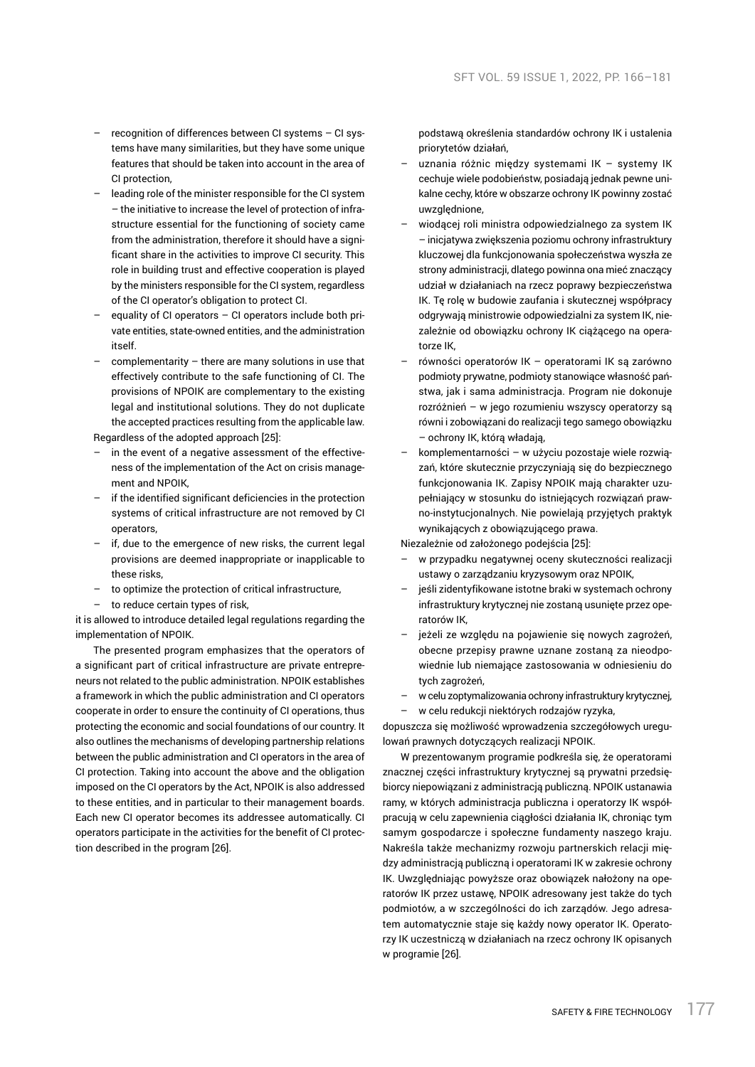- recognition of differences between CI systems CI systems have many similarities, but they have some unique features that should be taken into account in the area of CI protection
- leading role of the minister responsible for the CI system – the initiative to increase the level of protection of infrastructure essential for the functioning of society came from the administration, therefore it should have a significant share in the activities to improve CI security. This role in building trust and effective cooperation is played by the ministers responsible for the CI system, regardless of the CI operator's obligation to protect CI.
- equality of CI operators  $-$  CI operators include both private entities, state-owned entities, and the administration itself.
- complementarity there are many solutions in use that effectively contribute to the safe functioning of CI. The provisions of NPOIK are complementary to the existing legal and institutional solutions. They do not duplicate the accepted practices resulting from the applicable law. Regardless of the adopted approach [25]:
- in the event of a negative assessment of the effective-
- ness of the implementation of the Act on crisis management and NPOIK,
- if the identified significant deficiencies in the protection systems of critical infrastructure are not removed by CI operators,
- if, due to the emergence of new risks, the current legal provisions are deemed inappropriate or inapplicable to these risks,
- to optimize the protection of critical infrastructure,
- to reduce certain types of risk.

it is allowed to introduce detailed legal regulations regarding the implementation of NPOIK.

The presented program emphasizes that the operators of a significant part of critical infrastructure are private entrepreneurs not related to the public administration. NPOIK establishes a framework in which the public administration and CI operators cooperate in order to ensure the continuity of CI operations, thus protecting the economic and social foundations of our country. It also outlines the mechanisms of developing partnership relations between the public administration and CI operators in the area of CI protection. Taking into account the above and the obligation imposed on the CI operators by the Act, NPOIK is also addressed to these entities, and in particular to their management boards. Each new CI operator becomes its addressee automatically. CI operators participate in the activities for the benefit of CI protection described in the program [26].

podstawą określenia standardów ochrony IK i ustalenia priorytetów działań,

- uznania różnic między systemami IK systemy IK cechuje wiele podobieństw, posiadają jednak pewne unikalne cechy, które w obszarze ochrony IK powinny zostać uwzględnione,
- wiodącej roli ministra odpowiedzialnego za system IK – inicjatywa zwiększenia poziomu ochrony infrastruktury kluczowej dla funkcjonowania społeczeństwa wyszła ze strony administracji, dlatego powinna ona mieć znaczący udział w działaniach na rzecz poprawy bezpieczeństwa IK. Tę rolę w budowie zaufania i skutecznej współpracy odgrywają ministrowie odpowiedzialni za system IK, niezależnie od obowiązku ochrony IK ciążącego na operatorze IK,
- równości operatorów IK operatorami IK są zarówno podmioty prywatne, podmioty stanowiące własność państwa, jak i sama administracja. Program nie dokonuje rozróżnień – w jego rozumieniu wszyscy operatorzy są równi i zobowiązani do realizacji tego samego obowiązku – ochrony IK, którą władają,
- komplementarności w użyciu pozostaje wiele rozwiązań, które skutecznie przyczyniają się do bezpiecznego funkcjonowania IK. Zapisy NPOIK mają charakter uzupełniający w stosunku do istniejących rozwiązań prawno-instytucjonalnych. Nie powielają przyjętych praktyk wynikających z obowiązującego prawa.

Niezależnie od założonego podejścia [25]:

- w przypadku negatywnej oceny skuteczności realizacji ustawy o zarządzaniu kryzysowym oraz NPOIK,
- jeśli zidentyfikowane istotne braki w systemach ochrony infrastruktury krytycznej nie zostaną usunięte przez operatorów IK,
- jeżeli ze względu na pojawienie się nowych zagrożeń, obecne przepisy prawne uznane zostaną za nieodpowiednie lub niemające zastosowania w odniesieniu do tych zagrożeń,
- w celu zoptymalizowania ochrony infrastruktury krytycznej,
- w celu redukcji niektórych rodzajów ryzyka,

dopuszcza się możliwość wprowadzenia szczegółowych uregulowań prawnych dotyczących realizacji NPOIK.

W prezentowanym programie podkreśla się, że operatorami znacznej części infrastruktury krytycznej są prywatni przedsiębiorcy niepowiązani z administracją publiczną. NPOIK ustanawia ramy, w których administracja publiczna i operatorzy IK współpracują w celu zapewnienia ciągłości działania IK, chroniąc tym samym gospodarcze i społeczne fundamenty naszego kraju. Nakreśla także mechanizmy rozwoju partnerskich relacji między administracją publiczną i operatorami IK w zakresie ochrony IK. Uwzględniając powyższe oraz obowiązek nałożony na operatorów IK przez ustawę, NPOIK adresowany jest także do tych podmiotów, a w szczególności do ich zarządów. Jego adresatem automatycznie staje się każdy nowy operator IK. Operatorzy IK uczestniczą w działaniach na rzecz ochrony IK opisanych w programie [26].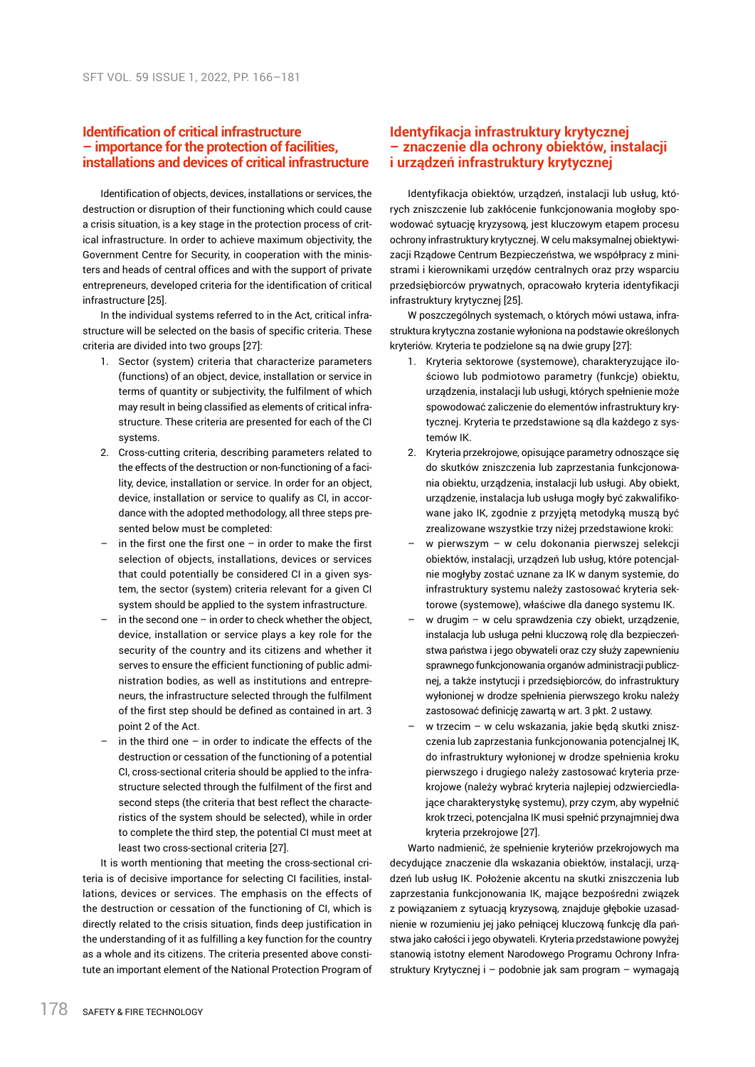## **Identification of critical infrastructure – importance for the protection of facilities, installations and devices of critical infrastructure**

Identification of objects, devices, installations or services, the destruction or disruption of their functioning which could cause a crisis situation, is a key stage in the protection process of critical infrastructure. In order to achieve maximum objectivity, the Government Centre for Security, in cooperation with the ministers and heads of central offices and with the support of private entrepreneurs, developed criteria for the identification of critical infrastructure [25].

In the individual systems referred to in the Act, critical infrastructure will be selected on the basis of specific criteria. These criteria are divided into two groups [27]:

- 1. Sector (system) criteria that characterize parameters (functions) of an object, device, installation or service in terms of quantity or subjectivity, the fulfilment of which may result in being classified as elements of critical infrastructure. These criteria are presented for each of the CI systems.
- 2. Cross-cutting criteria, describing parameters related to the effects of the destruction or non-functioning of a facility, device, installation or service. In order for an object, device, installation or service to qualify as CI, in accordance with the adopted methodology, all three steps presented below must be completed:
- in the first one the first one  $-$  in order to make the first selection of objects, installations, devices or services that could potentially be considered CI in a given system, the sector (system) criteria relevant for a given CI system should be applied to the system infrastructure.
- in the second one  $-$  in order to check whether the object. device, installation or service plays a key role for the security of the country and its citizens and whether it serves to ensure the efficient functioning of public administration bodies, as well as institutions and entrepreneurs, the infrastructure selected through the fulfilment of the first step should be defined as contained in art. 3 point 2 of the Act.
- in the third one  $-$  in order to indicate the effects of the destruction or cessation of the functioning of a potential CI, cross-sectional criteria should be applied to the infrastructure selected through the fulfilment of the first and second steps (the criteria that best reflect the characteristics of the system should be selected), while in order to complete the third step, the potential CI must meet at least two cross-sectional criteria [27].

It is worth mentioning that meeting the cross-sectional criteria is of decisive importance for selecting CI facilities, installations, devices or services. The emphasis on the effects of the destruction or cessation of the functioning of CI, which is directly related to the crisis situation, finds deep justification in the understanding of it as fulfilling a key function for the country as a whole and its citizens. The criteria presented above constitute an important element of the National Protection Program of

# **Identyfikacja infrastruktury krytycznej – znaczenie dla ochrony obiektów, instalacji i urządzeń infrastruktury krytycznej**

Identyfikacja obiektów, urządzeń, instalacji lub usług, których zniszczenie lub zakłócenie funkcjonowania mogłoby spowodować sytuację kryzysową, jest kluczowym etapem procesu ochrony infrastruktury krytycznej. W celu maksymalnej obiektywizacji Rządowe Centrum Bezpieczeństwa, we współpracy z ministrami i kierownikami urzędów centralnych oraz przy wsparciu przedsiębiorców prywatnych, opracowało kryteria identyfikacji infrastruktury krytycznej [25].

W poszczególnych systemach, o których mówi ustawa, infrastruktura krytyczna zostanie wyłoniona na podstawie określonych kryteriów. Kryteria te podzielone są na dwie grupy [27]:

- 1. Kryteria sektorowe (systemowe), charakteryzujące ilościowo lub podmiotowo parametry (funkcje) obiektu, urządzenia, instalacji lub usługi, których spełnienie może spowodować zaliczenie do elementów infrastruktury krytycznej. Kryteria te przedstawione są dla każdego z systemów IK.
- 2. Kryteria przekrojowe, opisujące parametry odnoszące się do skutków zniszczenia lub zaprzestania funkcjonowania obiektu, urządzenia, instalacji lub usługi. Aby obiekt, urządzenie, instalacja lub usługa mogły być zakwalifikowane jako IK, zgodnie z przyjętą metodyką muszą być zrealizowane wszystkie trzy niżej przedstawione kroki:
- w pierwszym w celu dokonania pierwszej selekcji obiektów, instalacji, urządzeń lub usług, które potencjalnie mogłyby zostać uznane za IK w danym systemie, do infrastruktury systemu należy zastosować kryteria sektorowe (systemowe), właściwe dla danego systemu IK.
- w drugim w celu sprawdzenia czy obiekt, urządzenie, instalacja lub usługa pełni kluczową rolę dla bezpieczeństwa państwa i jego obywateli oraz czy służy zapewnieniu sprawnego funkcjonowania organów administracji publicznej, a także instytucji i przedsiębiorców, do infrastruktury wyłonionej w drodze spełnienia pierwszego kroku należy zastosować definicję zawartą w art. 3 pkt. 2 ustawy.
- w trzecim w celu wskazania, jakie będą skutki zniszczenia lub zaprzestania funkcjonowania potencjalnej IK, do infrastruktury wyłonionej w drodze spełnienia kroku pierwszego i drugiego należy zastosować kryteria przekrojowe (należy wybrać kryteria najlepiej odzwierciedlające charakterystykę systemu), przy czym, aby wypełnić krok trzeci, potencjalna IK musi spełnić przynajmniej dwa kryteria przekrojowe [27].

Warto nadmienić, że spełnienie kryteriów przekrojowych ma decydujące znaczenie dla wskazania obiektów, instalacji, urządzeń lub usług IK. Położenie akcentu na skutki zniszczenia lub zaprzestania funkcjonowania IK, mające bezpośredni związek z powiązaniem z sytuacją kryzysową, znajduje głębokie uzasadnienie w rozumieniu jej jako pełniącej kluczową funkcję dla państwa jako całości i jego obywateli. Kryteria przedstawione powyżej stanowią istotny element Narodowego Programu Ochrony Infrastruktury Krytycznej i – podobnie jak sam program – wymagają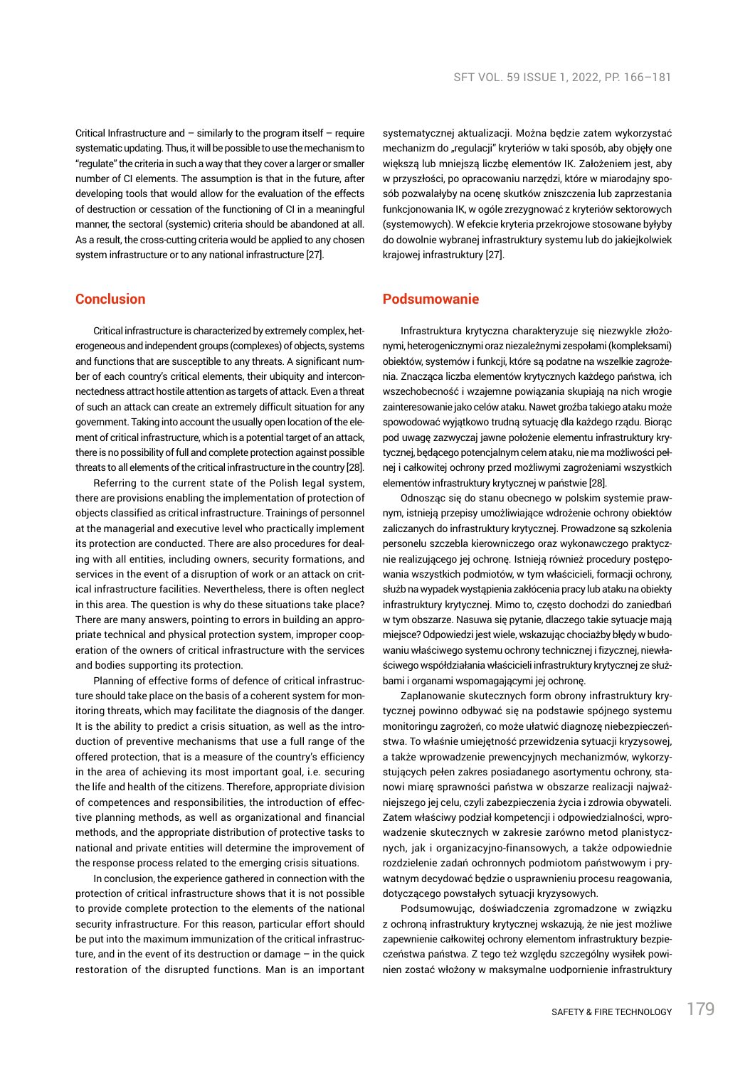Critical Infrastructure and  $-$  similarly to the program itself  $-$  require systematic updating. Thus, it will be possible to use the mechanism to "regulate" the criteria in such a way that they cover a larger or smaller number of CI elements. The assumption is that in the future, after developing tools that would allow for the evaluation of the effects of destruction or cessation of the functioning of CI in a meaningful manner, the sectoral (systemic) criteria should be abandoned at all. As a result, the cross-cutting criteria would be applied to any chosen system infrastructure or to any national infrastructure [27].

## **Conclusion**

Critical infrastructure is characterized by extremely complex, heterogeneous and independent groups (complexes) of objects, systems and functions that are susceptible to any threats. A significant number of each country's critical elements, their ubiquity and interconnectedness attract hostile attention as targets of attack. Even athreat of such an attack can create an extremely difficult situation for any government. Taking into account the usually open location of the element of critical infrastructure, which is a potential target of an attack, there is no possibility of full and complete protection against possible threats to all elements of the critical infrastructure in the country [28].

Referring to the current state of the Polish legal system, there are provisions enabling the implementation of protection of objects classified as critical infrastructure. Trainings of personnel at the managerial and executive level who practically implement its protection are conducted. There are also procedures for dealing with all entities, including owners, security formations, and services in the event of a disruption of work or an attack on critical infrastructure facilities. Nevertheless, there is often neglect in this area. The question is why do these situations take place? There are many answers, pointing to errors in building an appropriate technical and physical protection system, improper cooperation of the owners of critical infrastructure with the services and bodies supporting its protection.

Planning of effective forms of defence of critical infrastructure should take place on the basis of a coherent system for monitoring threats, which may facilitate the diagnosis of the danger. It is the ability to predict a crisis situation, as well as the introduction of preventive mechanisms that use a full range of the offered protection, that is a measure of the country's efficiency in the area of achieving its most important goal, i.e. securing the life and health of the citizens. Therefore, appropriate division of competences and responsibilities, the introduction of effective planning methods, as well as organizational and financial methods, and the appropriate distribution of protective tasks to national and private entities will determine the improvement of the response process related to the emerging crisis situations.

In conclusion, the experience gathered in connection with the protection of critical infrastructure shows that it is not possible to provide complete protection to the elements of the national security infrastructure. For this reason, particular effort should be put into the maximum immunization of the critical infrastructure, and in the event of its destruction or damage  $-$  in the quick restoration of the disrupted functions. Man is an important systematycznej aktualizacji. Można będzie zatem wykorzystać mechanizm do "regulacji" kryteriów w taki sposób, aby objęły one większą lub mniejszą liczbę elementów IK. Założeniem jest, aby w przyszłości, po opracowaniu narzędzi, które w miarodajny sposób pozwalałyby na ocenę skutków zniszczenia lub zaprzestania funkcjonowania IK, w ogóle zrezygnować z kryteriów sektorowych (systemowych). W efekcie kryteria przekrojowe stosowane byłyby do dowolnie wybranej infrastruktury systemu lub do jakiejkolwiek krajowej infrastruktury [27].

# **Podsumowanie**

Infrastruktura krytyczna charakteryzuje się niezwykle złożonymi, heterogenicznymi oraz niezależnymi zespołami (kompleksami) obiektów, systemów i funkcji, które są podatne na wszelkie zagrożenia. Znacząca liczba elementów krytycznych każdego państwa, ich wszechobecność i wzajemne powiązania skupiają na nich wrogie zainteresowanie jako celów ataku. Nawet groźba takiego ataku może spowodować wyjątkowo trudną sytuację dla każdego rządu. Biorąc pod uwagę zazwyczaj jawne położenie elementu infrastruktury krytycznej, będącego potencjalnym celem ataku, nie ma możliwości pełnej i całkowitej ochrony przed możliwymi zagrożeniami wszystkich elementów infrastruktury krytycznej w państwie [28].

Odnosząc się do stanu obecnego w polskim systemie prawnym, istnieją przepisy umożliwiające wdrożenie ochrony obiektów zaliczanych do infrastruktury krytycznej. Prowadzone są szkolenia personelu szczebla kierowniczego oraz wykonawczego praktycznie realizującego jej ochronę. Istnieją również procedury postępowania wszystkich podmiotów, w tym właścicieli, formacji ochrony, służb na wypadek wystąpienia zakłócenia pracy lub ataku na obiekty infrastruktury krytycznej. Mimo to, często dochodzi do zaniedbań w tym obszarze. Nasuwa się pytanie, dlaczego takie sytuacje mają miejsce? Odpowiedzi jest wiele, wskazując chociażby błędy w budowaniu właściwego systemu ochrony technicznej i fizycznej, niewłaściwego współdziałania właścicieli infrastruktury krytycznej ze służbami i organami wspomagającymi jej ochronę.

Zaplanowanie skutecznych form obrony infrastruktury krytycznej powinno odbywać się na podstawie spójnego systemu monitoringu zagrożeń, co może ułatwić diagnozę niebezpieczeństwa. To właśnie umiejętność przewidzenia sytuacji kryzysowej, a także wprowadzenie prewencyjnych mechanizmów, wykorzystujących pełen zakres posiadanego asortymentu ochrony, stanowi miarę sprawności państwa w obszarze realizacji najważniejszego jej celu, czyli zabezpieczenia życia i zdrowia obywateli. Zatem właściwy podział kompetencji i odpowiedzialności, wprowadzenie skutecznych w zakresie zarówno metod planistycznych, jak i organizacyjno-finansowych, a także odpowiednie rozdzielenie zadań ochronnych podmiotom państwowym i prywatnym decydować będzie o usprawnieniu procesu reagowania, dotyczącego powstałych sytuacji kryzysowych.

Podsumowując, doświadczenia zgromadzone w związku z ochroną infrastruktury krytycznej wskazują, że nie jest możliwe zapewnienie całkowitej ochrony elementom infrastruktury bezpieczeństwa państwa. Z tego też względu szczególny wysiłek powinien zostać włożony w maksymalne uodpornienie infrastruktury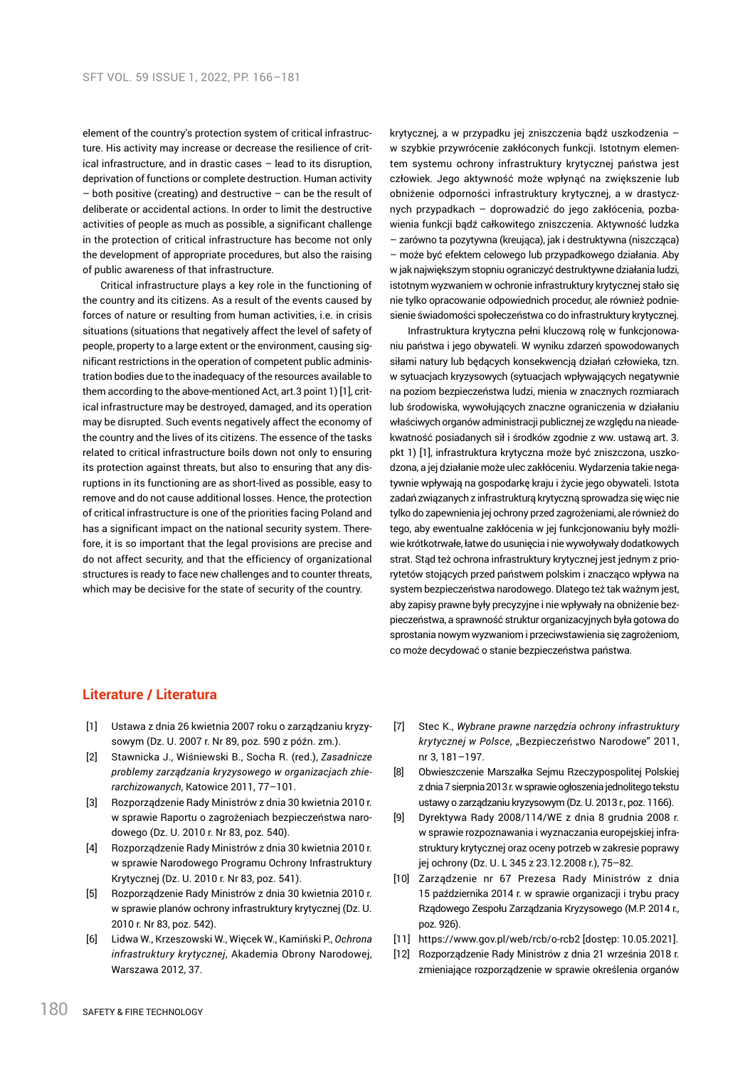element of the country's protection system of critical infrastructure. His activity may increase or decrease the resilience of critical infrastructure, and in drastic cases – lead to its disruption, deprivation of functions or complete destruction. Human activity  $-$  both positive (creating) and destructive  $-$  can be the result of deliberate or accidental actions. In order to limit the destructive activities of people as much as possible, a significant challenge in the protection of critical infrastructure has become not only the development of appropriate procedures, but also the raising of public awareness of that infrastructure.

Critical infrastructure plays a key role in the functioning of the country and its citizens. As a result of the events caused by forces of nature or resulting from human activities, i.e. in crisis situations (situations that negatively affect the level of safety of people, property to a large extent or the environment, causing significant restrictions in the operation of competent public administration bodies due to the inadequacy of the resources available to them according to the above-mentioned Act, art.3 point 1) [1], critical infrastructure may be destroyed, damaged, and its operation may be disrupted. Such events negatively affect the economy of the country and the lives of its citizens. The essence of the tasks related to critical infrastructure boils down not only to ensuring its protection against threats, but also to ensuring that any disruptions in its functioning are as short-lived as possible, easy to remove and do not cause additional losses. Hence, the protection of critical infrastructure is one of the priorities facing Poland and has a significant impact on the national security system. Therefore, it is so important that the legal provisions are precise and do not affect security, and that the efficiency of organizational structures is ready to face new challenges and to counter threats, which may be decisive for the state of security of the country.

krytycznej, a w przypadku jej zniszczenia bądź uszkodzenia – w szybkie przywrócenie zakłóconych funkcji. Istotnym elementem systemu ochrony infrastruktury krytycznej państwa jest człowiek. Jego aktywność może wpłynąć na zwiększenie lub obniżenie odporności infrastruktury krytycznej, a w drastycznych przypadkach – doprowadzić do jego zakłócenia, pozbawienia funkcji bądź całkowitego zniszczenia. Aktywność ludzka – zarówno ta pozytywna (kreująca), jak i destruktywna (niszcząca) – może być efektem celowego lub przypadkowego działania. Aby w jak największym stopniu ograniczyć destruktywne działania ludzi, istotnym wyzwaniem w ochronie infrastruktury krytycznej stało się nie tylko opracowanie odpowiednich procedur, ale również podniesienie świadomości społeczeństwa co do infrastruktury krytycznej.

Infrastruktura krytyczna pełni kluczową rolę w funkcjonowaniu państwa i jego obywateli. W wyniku zdarzeń spowodowanych siłami natury lub będących konsekwencją działań człowieka, tzn. w sytuacjach kryzysowych (sytuacjach wpływających negatywnie na poziom bezpieczeństwa ludzi, mienia w znacznych rozmiarach lub środowiska, wywołujących znaczne ograniczenia w działaniu właściwych organów administracji publicznej ze względu na nieadekwatność posiadanych sił i środków zgodnie z ww. ustawą art. 3. pkt 1) [1], infrastruktura krytyczna może być zniszczona, uszkodzona, a jej działanie może ulec zakłóceniu. Wydarzenia takie negatywnie wpływają na gospodarkę kraju i życie jego obywateli. Istota zadań związanych z infrastrukturą krytyczną sprowadza się więc nie tylko do zapewnienia jej ochrony przed zagrożeniami, ale również do tego, aby ewentualne zakłócenia w jej funkcjonowaniu były możliwie krótkotrwałe, łatwe do usunięcia i nie wywoływały dodatkowych strat. Stąd też ochrona infrastruktury krytycznej jest jednym z priorytetów stojących przed państwem polskim i znacząco wpływa na system bezpieczeństwa narodowego. Dlatego też tak ważnym jest, aby zapisy prawne były precyzyjne i nie wpływały na obniżenie bezpieczeństwa, a sprawność struktur organizacyjnych była gotowa do sprostania nowym wyzwaniom i przeciwstawienia się zagrożeniom, co może decydować o stanie bezpieczeństwa państwa.

## **Literature / Literatura**

- [1] Ustawa z dnia 26 kwietnia 2007 roku o zarządzaniu kryzysowym (Dz. U. 2007 r. Nr 89, poz. 590 z późn. zm.).
- [2] Stawnicka J., Wiśniewski B., Socha R. (red.), *Zasadnicze problemy zarządzania kryzysowego w organizacjach zhierarchizowanych*, Katowice 2011, 77–101.
- [3] Rozporządzenie Rady Ministrów z dnia 30 kwietnia 2010 r. w sprawie Raportu o zagrożeniach bezpieczeństwa narodowego (Dz. U. 2010 r. Nr 83, poz. 540).
- [4] Rozporządzenie Rady Ministrów z dnia 30 kwietnia 2010 r. w sprawie Narodowego Programu Ochrony Infrastruktury Krytycznej (Dz. U. 2010 r. Nr 83, poz. 541).
- [5] Rozporządzenie Rady Ministrów z dnia 30 kwietnia 2010 r. w sprawie planów ochrony infrastruktury krytycznej (Dz. U. 2010 r. Nr 83, poz. 542).
- [6] Lidwa W., Krzeszowski W., Więcek W., Kamiński P., *Ochrona infrastruktury krytycznej*, Akademia Obrony Narodowej, Warszawa 2012, 37.
- [7] Stec K., *Wybrane prawne narzędzia ochrony infrastruktury krytycznej w Polsce*, "Bezpieczeństwo Narodowe" 2011, nr 3, 181–197.
- [8] Obwieszczenie Marszałka Sejmu Rzeczypospolitej Polskiej zdnia 7 sierpnia 2013 r. wsprawie ogłoszenia jednolitego tekstu ustawy o zarządzaniu kryzysowym (Dz. U. 2013 r., poz. 1166).
- [9] Dyrektywa Rady 2008/114/WE z dnia 8 grudnia 2008 r. w sprawie rozpoznawania i wyznaczania europejskiej infrastruktury krytycznej oraz oceny potrzeb w zakresie poprawy jej ochrony (Dz. U. L 345 z 23.12.2008 r.), 75–82.
- [10] Zarządzenie nr 67 Prezesa Rady Ministrów z dnia 15 października 2014 r. w sprawie organizacji i trybu pracy Rządowego Zespołu Zarządzania Kryzysowego (M.P. 2014 r., poz. 926).
- [11] https://www.gov.pl/web/rcb/o-rcb2 [dostęp: 10.05.2021].
- [12] Rozporządzenie Rady Ministrów z dnia 21 września 2018 r. zmieniające rozporządzenie w sprawie określenia organów